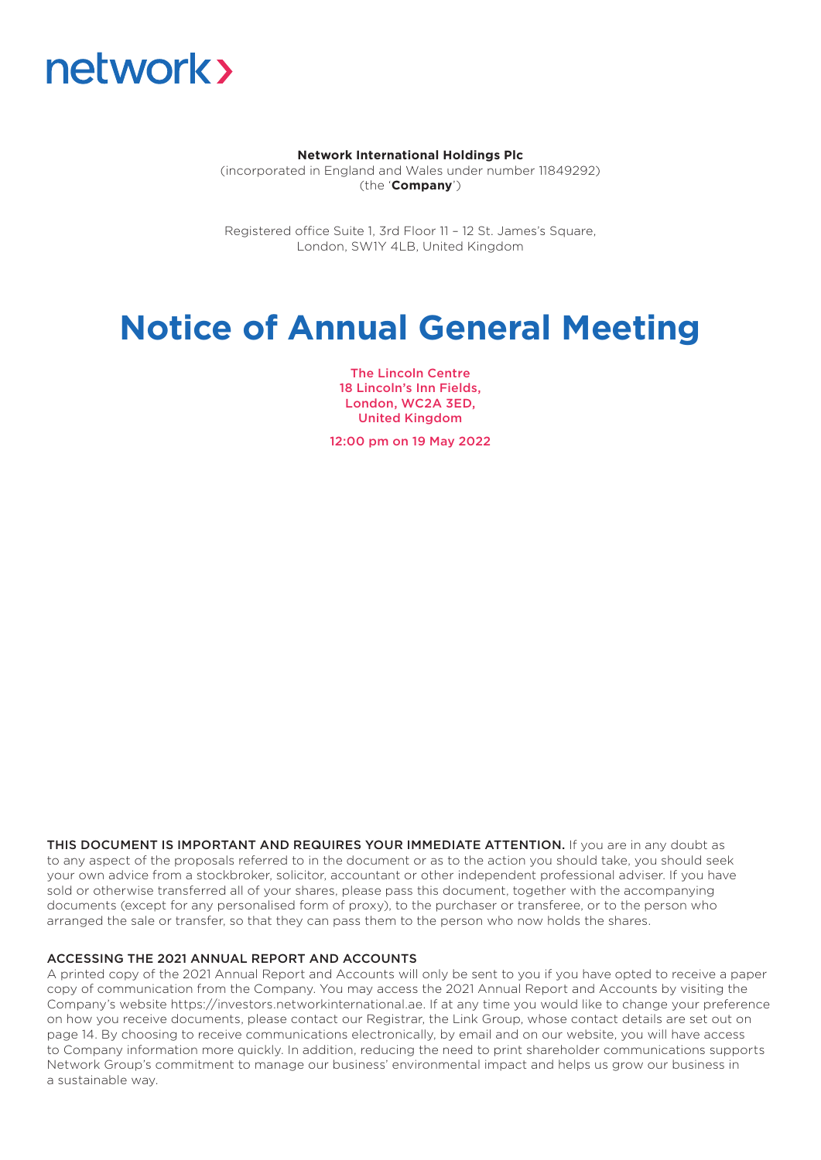

# **Network International Holdings Plc**

(incorporated in England and Wales under number 11849292) (the '**Company**')

Registered office Suite 1, 3rd Floor 11 – 12 St. James's Square, London, SW1Y 4LB, United Kingdom

# **Notice of Annual General Meeting**

The Lincoln Centre 18 Lincoln's Inn Fields, London, WC2A 3ED, United Kingdom

12:00 pm on 19 May 2022

THIS DOCUMENT IS IMPORTANT AND REQUIRES YOUR IMMEDIATE ATTENTION. If you are in any doubt as to any aspect of the proposals referred to in the document or as to the action you should take, you should seek your own advice from a stockbroker, solicitor, accountant or other independent professional adviser. If you have sold or otherwise transferred all of your shares, please pass this document, together with the accompanying documents (except for any personalised form of proxy), to the purchaser or transferee, or to the person who arranged the sale or transfer, so that they can pass them to the person who now holds the shares.

# ACCESSING THE 2021 ANNUAL REPORT AND ACCOUNTS

A printed copy of the 2021 Annual Report and Accounts will only be sent to you if you have opted to receive a paper copy of communication from the Company. You may access the 2021 Annual Report and Accounts by visiting the Company's website https://investors.networkinternational.ae. If at any time you would like to change your preference on how you receive documents, please contact our Registrar, the Link Group, whose contact details are set out on page 14. By choosing to receive communications electronically, by email and on our website, you will have access to Company information more quickly. In addition, reducing the need to print shareholder communications supports Network Group's commitment to manage our business' environmental impact and helps us grow our business in a sustainable way.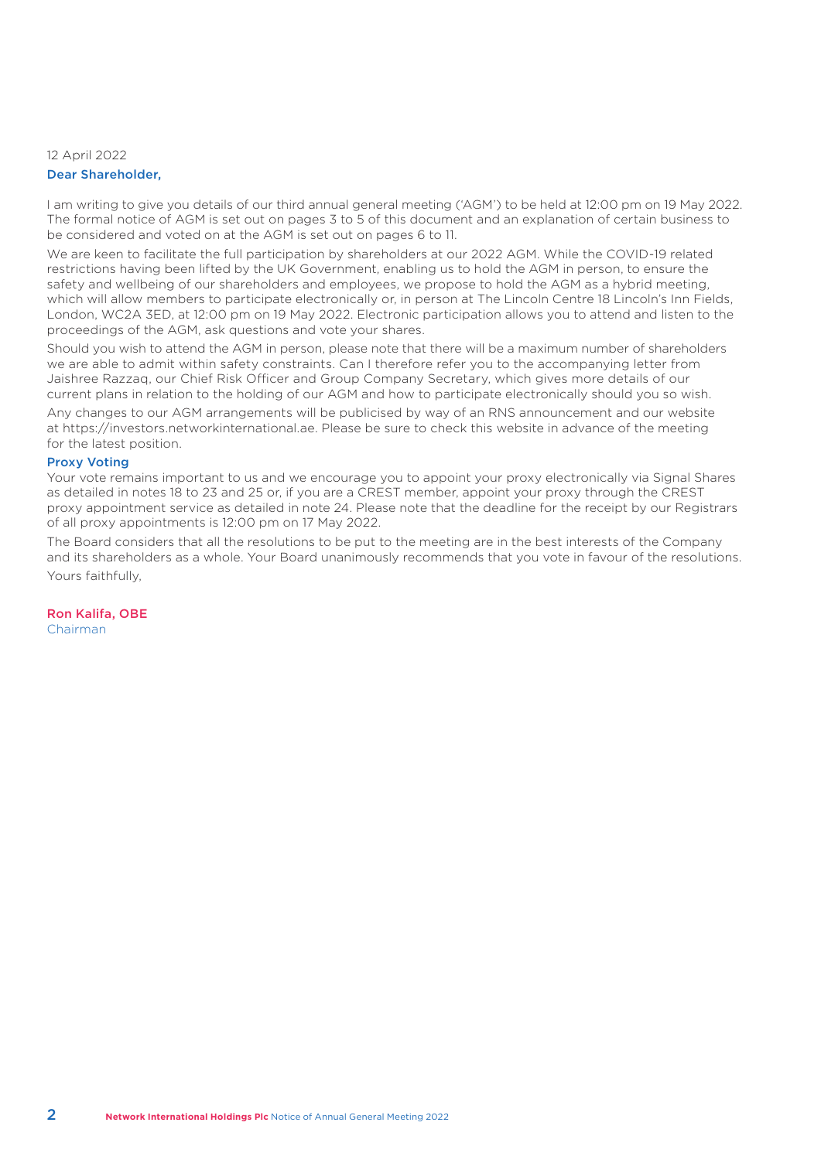# 12 April 2022 Dear Shareholder,

I am writing to give you details of our third annual general meeting ('AGM') to be held at 12:00 pm on 19 May 2022. The formal notice of AGM is set out on pages 3 to 5 of this document and an explanation of certain business to be considered and voted on at the AGM is set out on pages 6 to 11.

We are keen to facilitate the full participation by shareholders at our 2022 AGM. While the COVID-19 related restrictions having been lifted by the UK Government, enabling us to hold the AGM in person, to ensure the safety and wellbeing of our shareholders and employees, we propose to hold the AGM as a hybrid meeting, which will allow members to participate electronically or, in person at The Lincoln Centre 18 Lincoln's Inn Fields, London, WC2A 3ED, at 12:00 pm on 19 May 2022. Electronic participation allows you to attend and listen to the proceedings of the AGM, ask questions and vote your shares.

Should you wish to attend the AGM in person, please note that there will be a maximum number of shareholders we are able to admit within safety constraints. Can I therefore refer you to the accompanying letter from Jaishree Razzaq, our Chief Risk Officer and Group Company Secretary, which gives more details of our current plans in relation to the holding of our AGM and how to participate electronically should you so wish.

Any changes to our AGM arrangements will be publicised by way of an RNS announcement and our website at https://investors.networkinternational.ae. Please be sure to check this website in advance of the meeting for the latest position.

# Proxy Voting

Your vote remains important to us and we encourage you to appoint your proxy electronically via Signal Shares as detailed in notes 18 to 23 and 25 or, if you are a CREST member, appoint your proxy through the CREST proxy appointment service as detailed in note 24. Please note that the deadline for the receipt by our Registrars of all proxy appointments is 12:00 pm on 17 May 2022.

The Board considers that all the resolutions to be put to the meeting are in the best interests of the Company and its shareholders as a whole. Your Board unanimously recommends that you vote in favour of the resolutions. Yours faithfully,

Ron Kalifa, OBE Chairman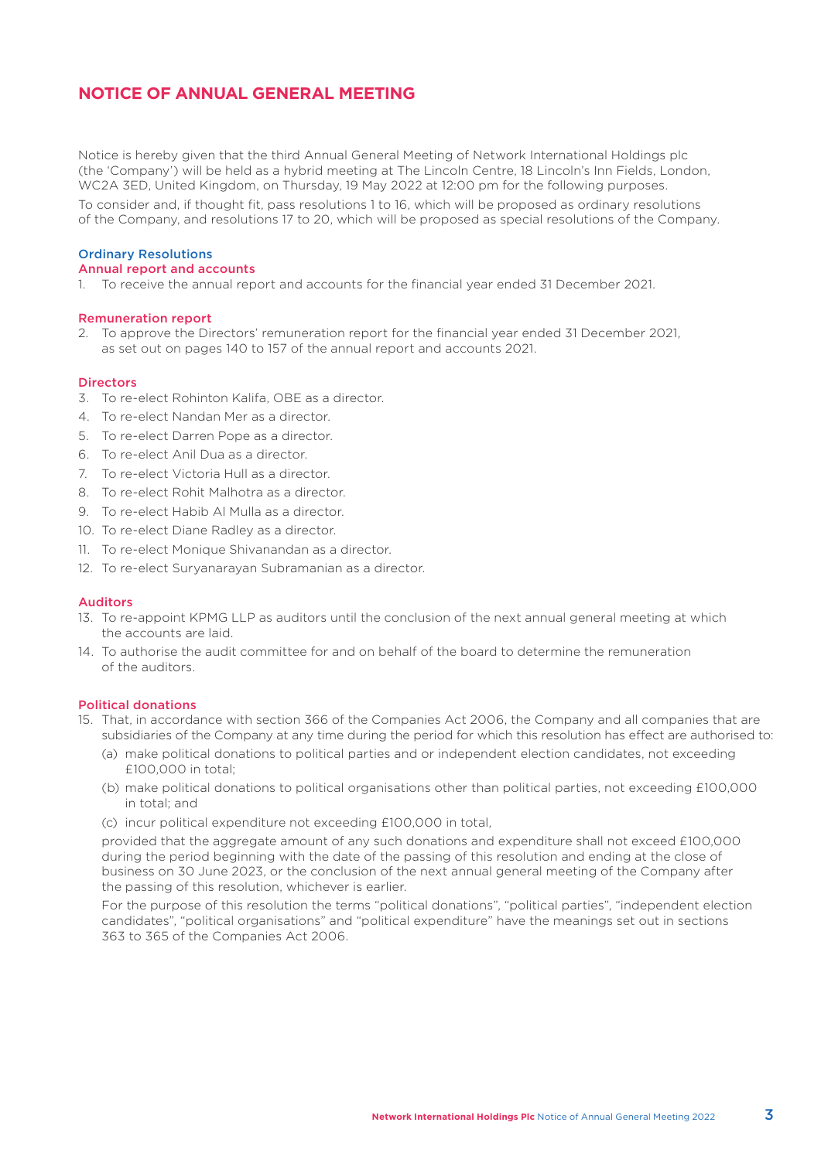# **NOTICE OF ANNUAL GENERAL MEETING**

Notice is hereby given that the third Annual General Meeting of Network International Holdings plc (the 'Company') will be held as a hybrid meeting at The Lincoln Centre, 18 Lincoln's Inn Fields, London, WC2A 3ED, United Kingdom, on Thursday, 19 May 2022 at 12:00 pm for the following purposes. To consider and, if thought fit, pass resolutions 1 to 16, which will be proposed as ordinary resolutions of the Company, and resolutions 17 to 20, which will be proposed as special resolutions of the Company.

# Ordinary Resolutions

# Annual report and accounts

1. To receive the annual report and accounts for the financial year ended 31 December 2021.

# Remuneration report

2. To approve the Directors' remuneration report for the financial year ended 31 December 2021, as set out on pages 140 to 157 of the annual report and accounts 2021.

# **Directors**

- 3. To re-elect Rohinton Kalifa, OBE as a director.
- 4. To re-elect Nandan Mer as a director.
- 5. To re-elect Darren Pope as a director.
- 6. To re-elect Anil Dua as a director.
- 7. To re-elect Victoria Hull as a director.
- 8. To re-elect Rohit Malhotra as a director.
- 9. To re-elect Habib Al Mulla as a director.
- 10. To re-elect Diane Radley as a director.
- 11. To re-elect Monique Shivanandan as a director.
- 12. To re-elect Suryanarayan Subramanian as a director.

### Auditors

- 13. To re-appoint KPMG LLP as auditors until the conclusion of the next annual general meeting at which the accounts are laid.
- 14. To authorise the audit committee for and on behalf of the board to determine the remuneration of the auditors.

# Political donations

- 15. That, in accordance with section 366 of the Companies Act 2006, the Company and all companies that are subsidiaries of the Company at any time during the period for which this resolution has effect are authorised to:
	- (a) make political donations to political parties and or independent election candidates, not exceeding £100,000 in total;
	- (b) make political donations to political organisations other than political parties, not exceeding £100,000 in total; and
	- (c) incur political expenditure not exceeding £100,000 in total,

 provided that the aggregate amount of any such donations and expenditure shall not exceed £100,000 during the period beginning with the date of the passing of this resolution and ending at the close of business on 30 June 2023, or the conclusion of the next annual general meeting of the Company after the passing of this resolution, whichever is earlier.

 For the purpose of this resolution the terms "political donations", "political parties", "independent election candidates", "political organisations" and "political expenditure" have the meanings set out in sections 363 to 365 of the Companies Act 2006.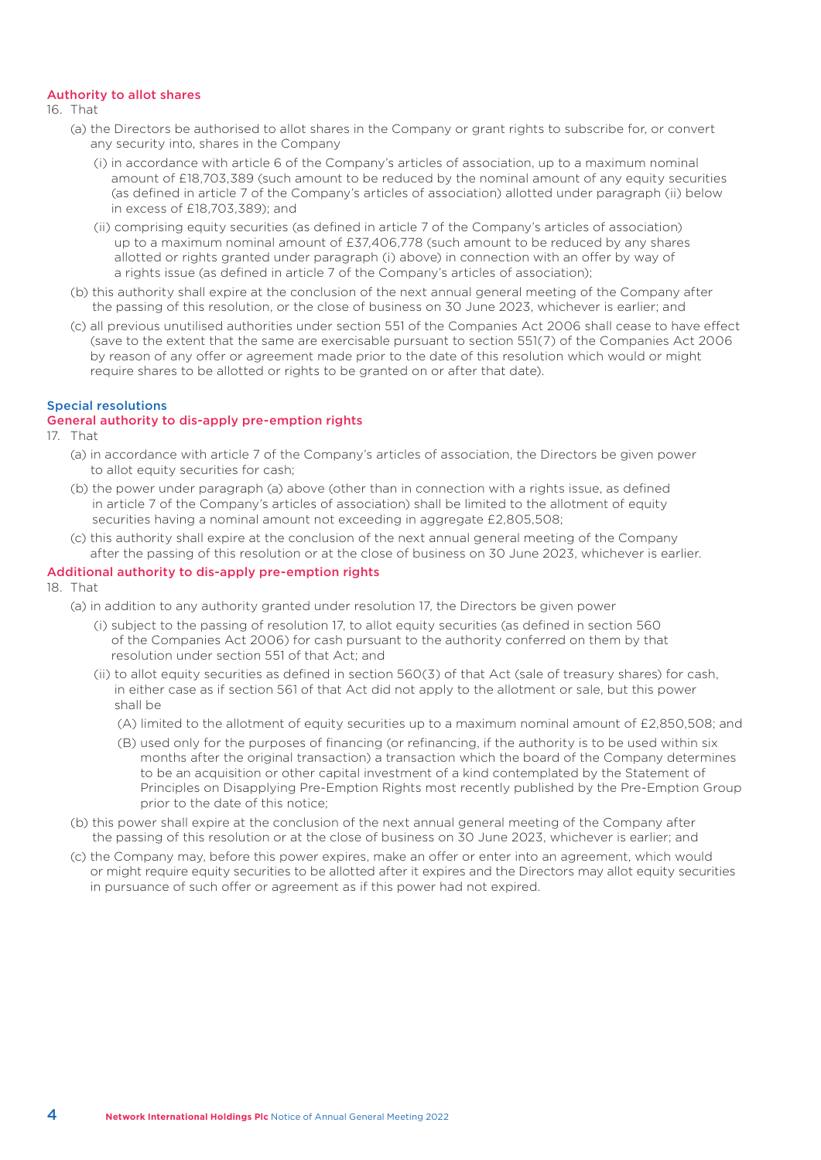# Authority to allot shares

16. That

- (a) the Directors be authorised to allot shares in the Company or grant rights to subscribe for, or convert any security into, shares in the Company
	- (i) in accordance with article 6 of the Company's articles of association, up to a maximum nominal amount of £18,703,389 (such amount to be reduced by the nominal amount of any equity securities (as defined in article 7 of the Company's articles of association) allotted under paragraph (ii) below in excess of £18,703,389); and
	- (ii) comprising equity securities (as defined in article 7 of the Company's articles of association) up to a maximum nominal amount of £37,406,778 (such amount to be reduced by any shares allotted or rights granted under paragraph (i) above) in connection with an offer by way of a rights issue (as defined in article 7 of the Company's articles of association);
- (b) this authority shall expire at the conclusion of the next annual general meeting of the Company after the passing of this resolution, or the close of business on 30 June 2023, whichever is earlier; and
- (c) all previous unutilised authorities under section 551 of the Companies Act 2006 shall cease to have effect (save to the extent that the same are exercisable pursuant to section 551(7) of the Companies Act 2006 by reason of any offer or agreement made prior to the date of this resolution which would or might require shares to be allotted or rights to be granted on or after that date).

# Special resolutions

# General authority to dis-apply pre-emption rights

- 17. That
	- (a) in accordance with article 7 of the Company's articles of association, the Directors be given power to allot equity securities for cash;
	- (b) the power under paragraph (a) above (other than in connection with a rights issue, as defined in article 7 of the Company's articles of association) shall be limited to the allotment of equity securities having a nominal amount not exceeding in aggregate £2,805,508;
	- (c) this authority shall expire at the conclusion of the next annual general meeting of the Company after the passing of this resolution or at the close of business on 30 June 2023, whichever is earlier.

# Additional authority to dis-apply pre-emption rights

- 18. That
	- (a) in addition to any authority granted under resolution 17, the Directors be given power
		- (i) subject to the passing of resolution 17, to allot equity securities (as defined in section 560 of the Companies Act 2006) for cash pursuant to the authority conferred on them by that resolution under section 551 of that Act; and
		- (ii) to allot equity securities as defined in section 560(3) of that Act (sale of treasury shares) for cash, in either case as if section 561 of that Act did not apply to the allotment or sale, but this power shall be
			- (A) limited to the allotment of equity securities up to a maximum nominal amount of £2,850,508; and
			- (B) used only for the purposes of financing (or refinancing, if the authority is to be used within six months after the original transaction) a transaction which the board of the Company determines to be an acquisition or other capital investment of a kind contemplated by the Statement of Principles on Disapplying Pre-Emption Rights most recently published by the Pre-Emption Group prior to the date of this notice;
	- (b) this power shall expire at the conclusion of the next annual general meeting of the Company after the passing of this resolution or at the close of business on 30 June 2023, whichever is earlier; and
	- (c) the Company may, before this power expires, make an offer or enter into an agreement, which would or might require equity securities to be allotted after it expires and the Directors may allot equity securities in pursuance of such offer or agreement as if this power had not expired.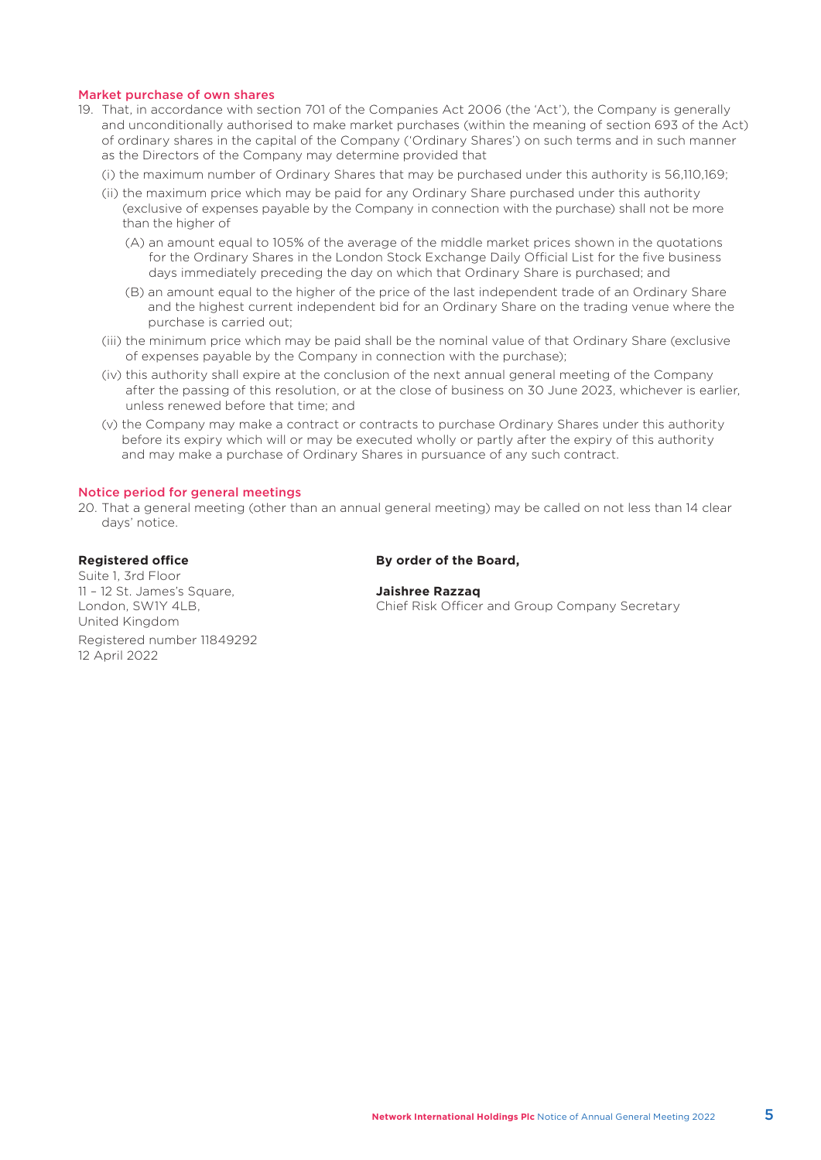# Market purchase of own shares

- 19. That, in accordance with section 701 of the Companies Act 2006 (the 'Act'), the Company is generally and unconditionally authorised to make market purchases (within the meaning of section 693 of the Act) of ordinary shares in the capital of the Company ('Ordinary Shares') on such terms and in such manner as the Directors of the Company may determine provided that
	- (i) the maximum number of Ordinary Shares that may be purchased under this authority is 56,110,169;
	- (ii) the maximum price which may be paid for any Ordinary Share purchased under this authority (exclusive of expenses payable by the Company in connection with the purchase) shall not be more than the higher of
		- (A) an amount equal to 105% of the average of the middle market prices shown in the quotations for the Ordinary Shares in the London Stock Exchange Daily Official List for the five business days immediately preceding the day on which that Ordinary Share is purchased; and
		- (B) an amount equal to the higher of the price of the last independent trade of an Ordinary Share and the highest current independent bid for an Ordinary Share on the trading venue where the purchase is carried out;
	- (iii) the minimum price which may be paid shall be the nominal value of that Ordinary Share (exclusive of expenses payable by the Company in connection with the purchase);
	- (iv) this authority shall expire at the conclusion of the next annual general meeting of the Company after the passing of this resolution, or at the close of business on 30 June 2023, whichever is earlier, unless renewed before that time; and
	- (v) the Company may make a contract or contracts to purchase Ordinary Shares under this authority before its expiry which will or may be executed wholly or partly after the expiry of this authority and may make a purchase of Ordinary Shares in pursuance of any such contract.

# Notice period for general meetings

20. That a general meeting (other than an annual general meeting) may be called on not less than 14 clear days' notice.

Suite 1, 3rd Floor 11 – 12 St. James's Square, **Jaishree Razzaq** United Kingdom Registered number 11849292 12 April 2022

# **Registered office By order of the Board,**

London, SW1Y 4LB, Chief Risk Officer and Group Company Secretary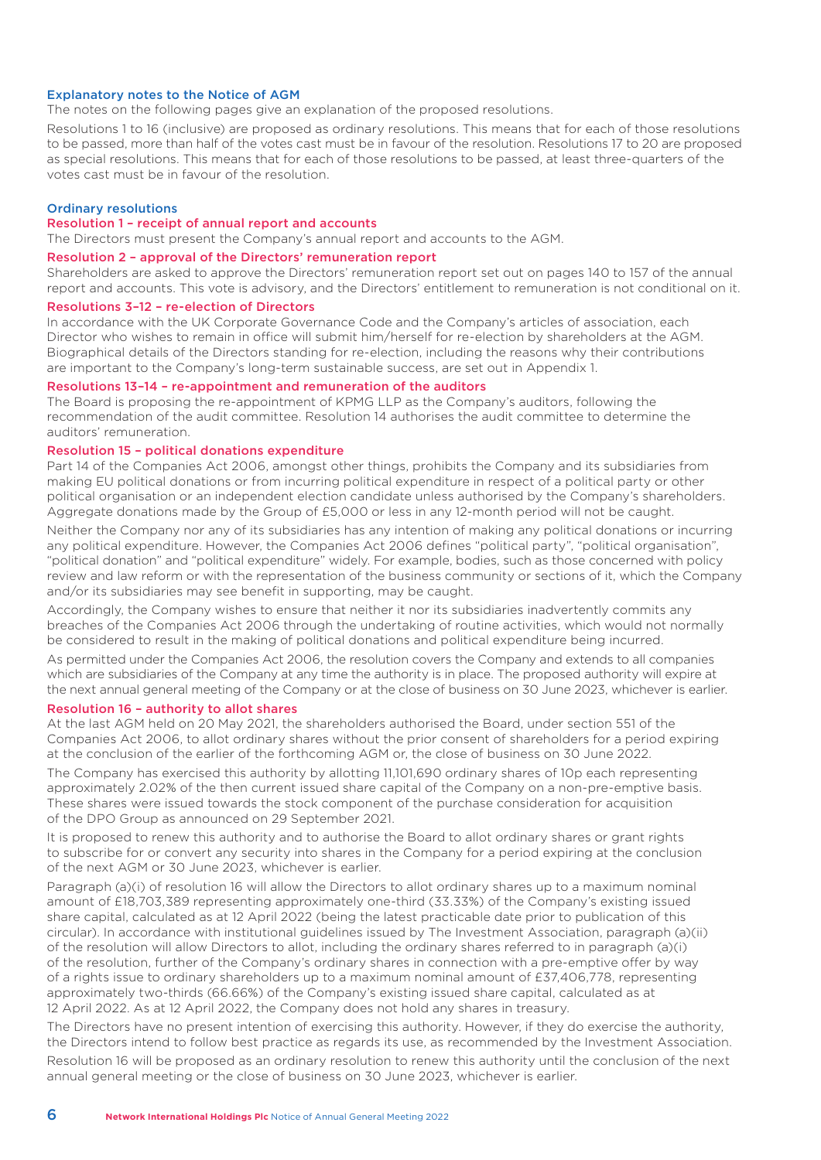# Explanatory notes to the Notice of AGM

The notes on the following pages give an explanation of the proposed resolutions.

Resolutions 1 to 16 (inclusive) are proposed as ordinary resolutions. This means that for each of those resolutions to be passed, more than half of the votes cast must be in favour of the resolution. Resolutions 17 to 20 are proposed as special resolutions. This means that for each of those resolutions to be passed, at least three-quarters of the votes cast must be in favour of the resolution.

# Ordinary resolutions

# Resolution 1 – receipt of annual report and accounts

The Directors must present the Company's annual report and accounts to the AGM.

# Resolution 2 – approval of the Directors' remuneration report

Shareholders are asked to approve the Directors' remuneration report set out on pages 140 to 157 of the annual report and accounts. This vote is advisory, and the Directors' entitlement to remuneration is not conditional on it.

# Resolutions 3–12 – re-election of Directors

In accordance with the UK Corporate Governance Code and the Company's articles of association, each Director who wishes to remain in office will submit him/herself for re-election by shareholders at the AGM. Biographical details of the Directors standing for re-election, including the reasons why their contributions are important to the Company's long-term sustainable success, are set out in Appendix 1.

### Resolutions 13–14 – re-appointment and remuneration of the auditors

The Board is proposing the re-appointment of KPMG LLP as the Company's auditors, following the recommendation of the audit committee. Resolution 14 authorises the audit committee to determine the auditors' remuneration.

# Resolution 15 – political donations expenditure

Part 14 of the Companies Act 2006, amongst other things, prohibits the Company and its subsidiaries from making EU political donations or from incurring political expenditure in respect of a political party or other political organisation or an independent election candidate unless authorised by the Company's shareholders. Aggregate donations made by the Group of £5,000 or less in any 12-month period will not be caught.

Neither the Company nor any of its subsidiaries has any intention of making any political donations or incurring any political expenditure. However, the Companies Act 2006 defines "political party", "political organisation", "political donation" and "political expenditure" widely. For example, bodies, such as those concerned with policy review and law reform or with the representation of the business community or sections of it, which the Company and/or its subsidiaries may see benefit in supporting, may be caught.

Accordingly, the Company wishes to ensure that neither it nor its subsidiaries inadvertently commits any breaches of the Companies Act 2006 through the undertaking of routine activities, which would not normally be considered to result in the making of political donations and political expenditure being incurred.

As permitted under the Companies Act 2006, the resolution covers the Company and extends to all companies which are subsidiaries of the Company at any time the authority is in place. The proposed authority will expire at the next annual general meeting of the Company or at the close of business on 30 June 2023, whichever is earlier.

# Resolution 16 – authority to allot shares

At the last AGM held on 20 May 2021, the shareholders authorised the Board, under section 551 of the Companies Act 2006, to allot ordinary shares without the prior consent of shareholders for a period expiring at the conclusion of the earlier of the forthcoming AGM or, the close of business on 30 June 2022.

The Company has exercised this authority by allotting 11,101,690 ordinary shares of 10p each representing approximately 2.02% of the then current issued share capital of the Company on a non-pre-emptive basis. These shares were issued towards the stock component of the purchase consideration for acquisition of the DPO Group as announced on 29 September 2021.

It is proposed to renew this authority and to authorise the Board to allot ordinary shares or grant rights to subscribe for or convert any security into shares in the Company for a period expiring at the conclusion of the next AGM or 30 June 2023, whichever is earlier.

Paragraph (a)(i) of resolution 16 will allow the Directors to allot ordinary shares up to a maximum nominal amount of £18,703,389 representing approximately one-third (33.33%) of the Company's existing issued share capital, calculated as at 12 April 2022 (being the latest practicable date prior to publication of this circular). In accordance with institutional guidelines issued by The Investment Association, paragraph (a)(ii) of the resolution will allow Directors to allot, including the ordinary shares referred to in paragraph (a)(i) of the resolution, further of the Company's ordinary shares in connection with a pre-emptive offer by way of a rights issue to ordinary shareholders up to a maximum nominal amount of £37,406,778, representing approximately two-thirds (66.66%) of the Company's existing issued share capital, calculated as at 12 April 2022. As at 12 April 2022, the Company does not hold any shares in treasury.

The Directors have no present intention of exercising this authority. However, if they do exercise the authority, the Directors intend to follow best practice as regards its use, as recommended by the Investment Association. Resolution 16 will be proposed as an ordinary resolution to renew this authority until the conclusion of the next annual general meeting or the close of business on 30 June 2023, whichever is earlier.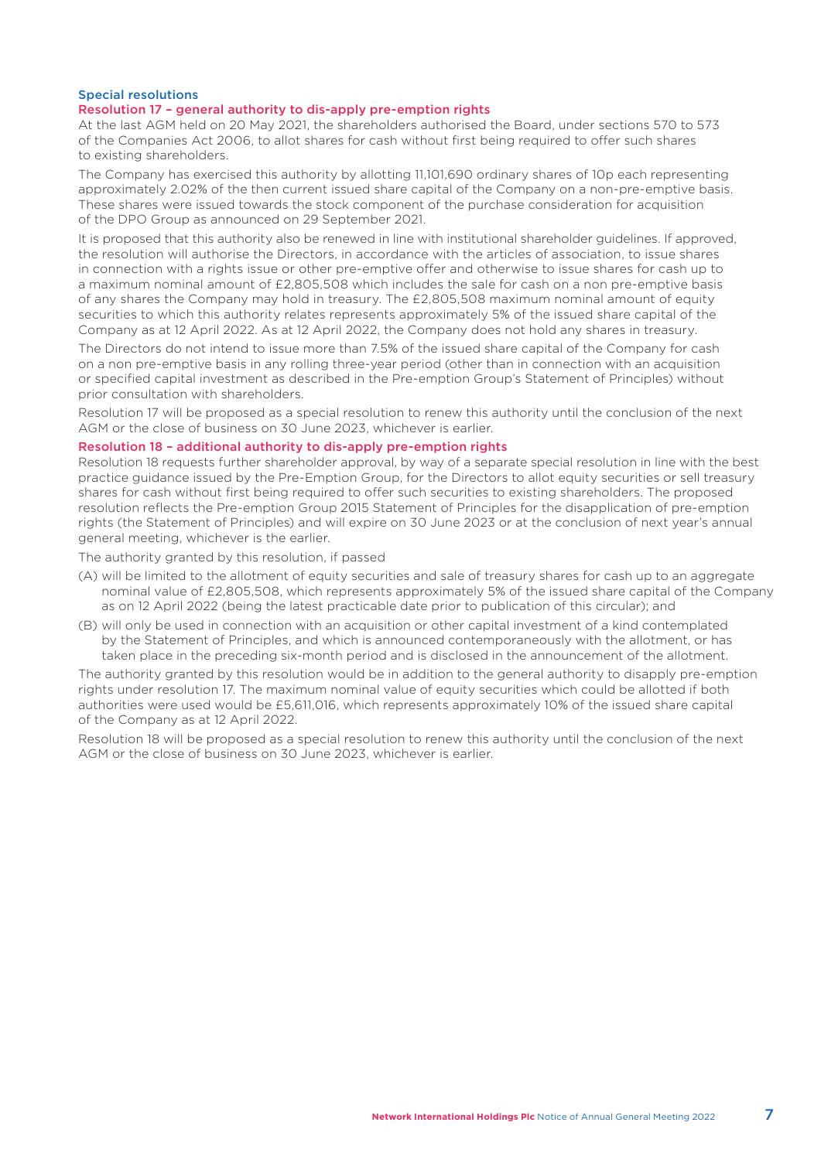# Special resolutions

# Resolution 17 – general authority to dis-apply pre-emption rights

At the last AGM held on 20 May 2021, the shareholders authorised the Board, under sections 570 to 573 of the Companies Act 2006, to allot shares for cash without first being required to offer such shares to existing shareholders.

The Company has exercised this authority by allotting 11,101,690 ordinary shares of 10p each representing approximately 2.02% of the then current issued share capital of the Company on a non-pre-emptive basis. These shares were issued towards the stock component of the purchase consideration for acquisition of the DPO Group as announced on 29 September 2021.

It is proposed that this authority also be renewed in line with institutional shareholder guidelines. If approved, the resolution will authorise the Directors, in accordance with the articles of association, to issue shares in connection with a rights issue or other pre-emptive offer and otherwise to issue shares for cash up to a maximum nominal amount of £2,805,508 which includes the sale for cash on a non pre-emptive basis of any shares the Company may hold in treasury. The £2,805,508 maximum nominal amount of equity securities to which this authority relates represents approximately 5% of the issued share capital of the Company as at 12 April 2022. As at 12 April 2022, the Company does not hold any shares in treasury.

The Directors do not intend to issue more than 7.5% of the issued share capital of the Company for cash on a non pre-emptive basis in any rolling three-year period (other than in connection with an acquisition or specified capital investment as described in the Pre-emption Group's Statement of Principles) without prior consultation with shareholders.

Resolution 17 will be proposed as a special resolution to renew this authority until the conclusion of the next AGM or the close of business on 30 June 2023, whichever is earlier.

# Resolution 18 – additional authority to dis-apply pre-emption rights

Resolution 18 requests further shareholder approval, by way of a separate special resolution in line with the best practice guidance issued by the Pre-Emption Group, for the Directors to allot equity securities or sell treasury shares for cash without first being required to offer such securities to existing shareholders. The proposed resolution reflects the Pre-emption Group 2015 Statement of Principles for the disapplication of pre-emption rights (the Statement of Principles) and will expire on 30 June 2023 or at the conclusion of next year's annual general meeting, whichever is the earlier.

The authority granted by this resolution, if passed

- (A) will be limited to the allotment of equity securities and sale of treasury shares for cash up to an aggregate nominal value of £2,805,508, which represents approximately 5% of the issued share capital of the Company as on 12 April 2022 (being the latest practicable date prior to publication of this circular); and
- (B) will only be used in connection with an acquisition or other capital investment of a kind contemplated by the Statement of Principles, and which is announced contemporaneously with the allotment, or has taken place in the preceding six-month period and is disclosed in the announcement of the allotment.

The authority granted by this resolution would be in addition to the general authority to disapply pre-emption rights under resolution 17. The maximum nominal value of equity securities which could be allotted if both authorities were used would be £5,611,016, which represents approximately 10% of the issued share capital of the Company as at 12 April 2022.

Resolution 18 will be proposed as a special resolution to renew this authority until the conclusion of the next AGM or the close of business on 30 June 2023, whichever is earlier.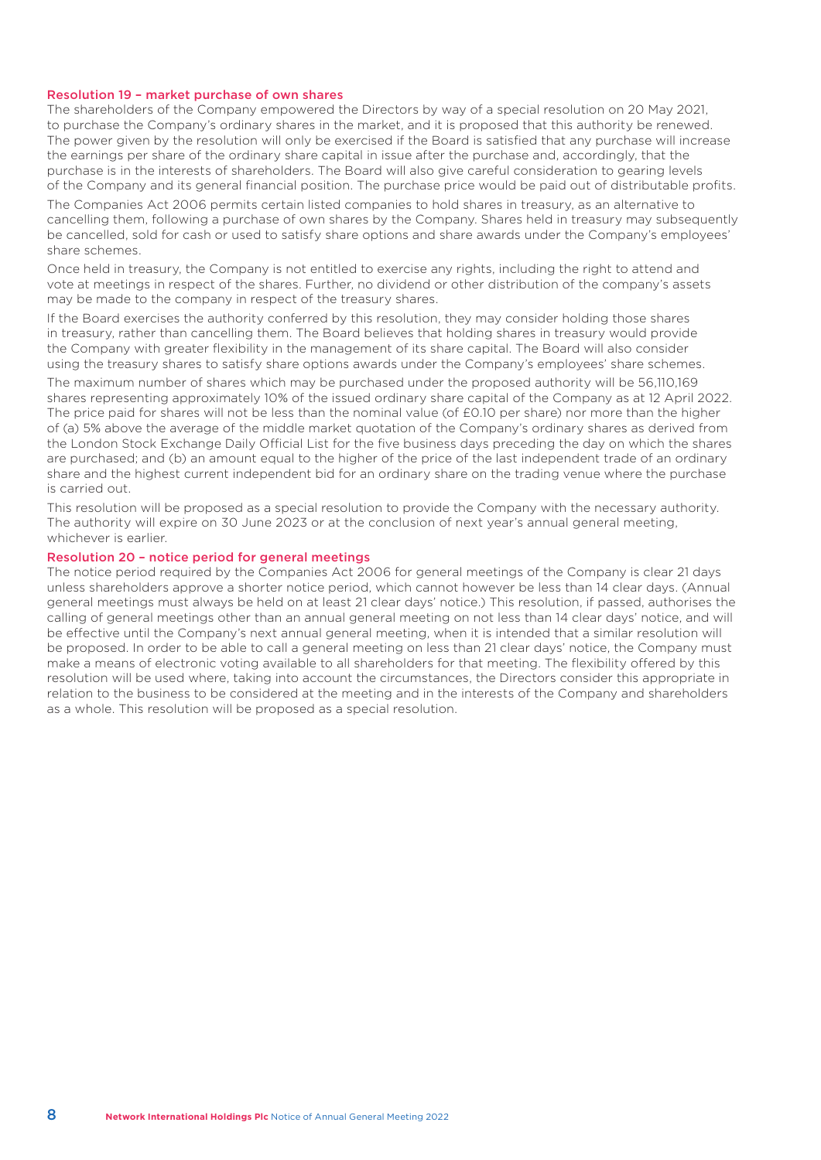# Resolution 19 – market purchase of own shares

The shareholders of the Company empowered the Directors by way of a special resolution on 20 May 2021, to purchase the Company's ordinary shares in the market, and it is proposed that this authority be renewed. The power given by the resolution will only be exercised if the Board is satisfied that any purchase will increase the earnings per share of the ordinary share capital in issue after the purchase and, accordingly, that the purchase is in the interests of shareholders. The Board will also give careful consideration to gearing levels of the Company and its general financial position. The purchase price would be paid out of distributable profits.

The Companies Act 2006 permits certain listed companies to hold shares in treasury, as an alternative to cancelling them, following a purchase of own shares by the Company. Shares held in treasury may subsequently be cancelled, sold for cash or used to satisfy share options and share awards under the Company's employees' share schemes.

Once held in treasury, the Company is not entitled to exercise any rights, including the right to attend and vote at meetings in respect of the shares. Further, no dividend or other distribution of the company's assets may be made to the company in respect of the treasury shares.

If the Board exercises the authority conferred by this resolution, they may consider holding those shares in treasury, rather than cancelling them. The Board believes that holding shares in treasury would provide the Company with greater flexibility in the management of its share capital. The Board will also consider using the treasury shares to satisfy share options awards under the Company's employees' share schemes.

The maximum number of shares which may be purchased under the proposed authority will be 56,110,169 shares representing approximately 10% of the issued ordinary share capital of the Company as at 12 April 2022. The price paid for shares will not be less than the nominal value (of £0.10 per share) nor more than the higher of (a) 5% above the average of the middle market quotation of the Company's ordinary shares as derived from the London Stock Exchange Daily Official List for the five business days preceding the day on which the shares are purchased; and (b) an amount equal to the higher of the price of the last independent trade of an ordinary share and the highest current independent bid for an ordinary share on the trading venue where the purchase is carried out.

This resolution will be proposed as a special resolution to provide the Company with the necessary authority. The authority will expire on 30 June 2023 or at the conclusion of next year's annual general meeting, whichever is earlier.

# Resolution 20 – notice period for general meetings

The notice period required by the Companies Act 2006 for general meetings of the Company is clear 21 days unless shareholders approve a shorter notice period, which cannot however be less than 14 clear days. (Annual general meetings must always be held on at least 21 clear days' notice.) This resolution, if passed, authorises the calling of general meetings other than an annual general meeting on not less than 14 clear days' notice, and will be effective until the Company's next annual general meeting, when it is intended that a similar resolution will be proposed. In order to be able to call a general meeting on less than 21 clear days' notice, the Company must make a means of electronic voting available to all shareholders for that meeting. The flexibility offered by this resolution will be used where, taking into account the circumstances, the Directors consider this appropriate in relation to the business to be considered at the meeting and in the interests of the Company and shareholders as a whole. This resolution will be proposed as a special resolution.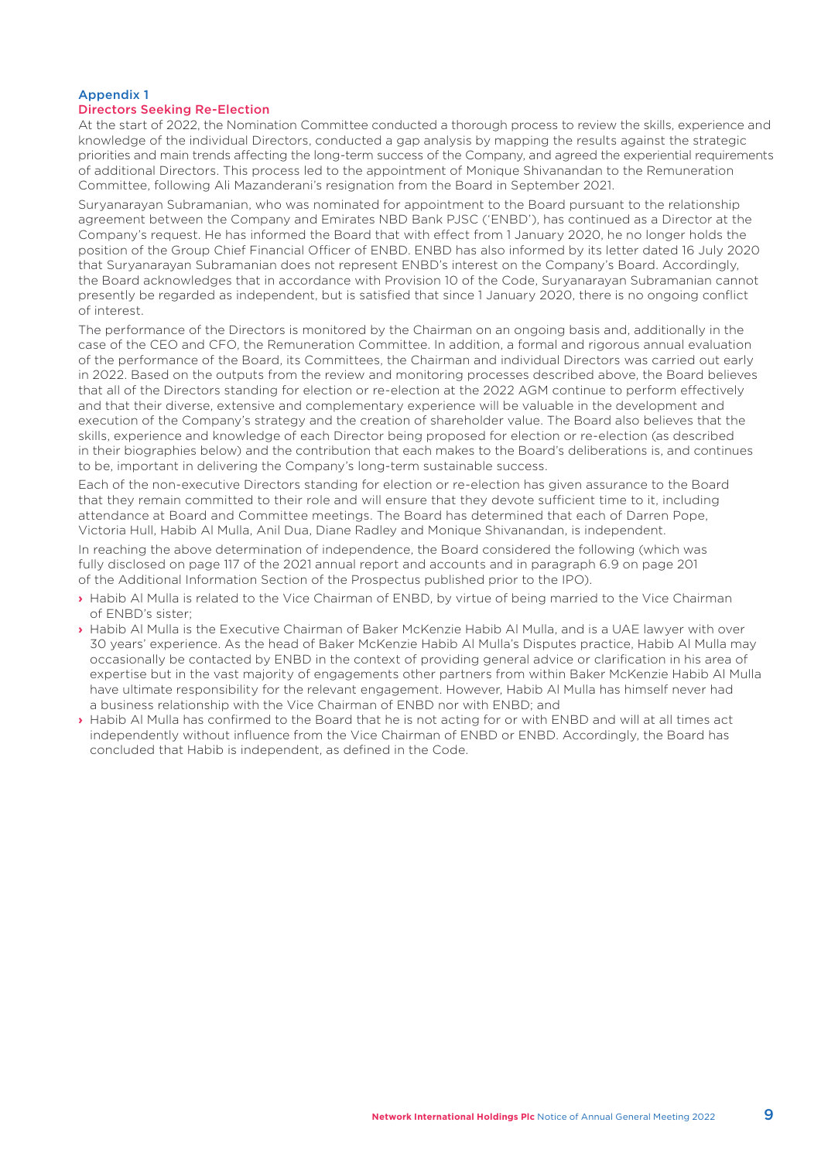# Appendix 1

# Directors Seeking Re-Election

At the start of 2022, the Nomination Committee conducted a thorough process to review the skills, experience and knowledge of the individual Directors, conducted a gap analysis by mapping the results against the strategic priorities and main trends affecting the long-term success of the Company, and agreed the experiential requirements of additional Directors. This process led to the appointment of Monique Shivanandan to the Remuneration Committee, following Ali Mazanderani's resignation from the Board in September 2021.

Suryanarayan Subramanian, who was nominated for appointment to the Board pursuant to the relationship agreement between the Company and Emirates NBD Bank PJSC ('ENBD'), has continued as a Director at the Company's request. He has informed the Board that with effect from 1 January 2020, he no longer holds the position of the Group Chief Financial Officer of ENBD. ENBD has also informed by its letter dated 16 July 2020 that Suryanarayan Subramanian does not represent ENBD's interest on the Company's Board. Accordingly, the Board acknowledges that in accordance with Provision 10 of the Code, Suryanarayan Subramanian cannot presently be regarded as independent, but is satisfied that since 1 January 2020, there is no ongoing conflict of interest.

The performance of the Directors is monitored by the Chairman on an ongoing basis and, additionally in the case of the CEO and CFO, the Remuneration Committee. In addition, a formal and rigorous annual evaluation of the performance of the Board, its Committees, the Chairman and individual Directors was carried out early in 2022. Based on the outputs from the review and monitoring processes described above, the Board believes that all of the Directors standing for election or re-election at the 2022 AGM continue to perform effectively and that their diverse, extensive and complementary experience will be valuable in the development and execution of the Company's strategy and the creation of shareholder value. The Board also believes that the skills, experience and knowledge of each Director being proposed for election or re-election (as described in their biographies below) and the contribution that each makes to the Board's deliberations is, and continues to be, important in delivering the Company's long-term sustainable success.

Each of the non-executive Directors standing for election or re-election has given assurance to the Board that they remain committed to their role and will ensure that they devote sufficient time to it, including attendance at Board and Committee meetings. The Board has determined that each of Darren Pope, Victoria Hull, Habib Al Mulla, Anil Dua, Diane Radley and Monique Shivanandan, is independent.

In reaching the above determination of independence, the Board considered the following (which was fully disclosed on page 117 of the 2021 annual report and accounts and in paragraph 6.9 on page 201 of the Additional Information Section of the Prospectus published prior to the IPO).

- **›** Habib Al Mulla is related to the Vice Chairman of ENBD, by virtue of being married to the Vice Chairman of ENBD's sister;
- **›** Habib Al Mulla is the Executive Chairman of Baker McKenzie Habib Al Mulla, and is a UAE lawyer with over 30 years' experience. As the head of Baker McKenzie Habib Al Mulla's Disputes practice, Habib Al Mulla may occasionally be contacted by ENBD in the context of providing general advice or clarification in his area of expertise but in the vast majority of engagements other partners from within Baker McKenzie Habib Al Mulla have ultimate responsibility for the relevant engagement. However, Habib Al Mulla has himself never had a business relationship with the Vice Chairman of ENBD nor with ENBD; and
- **›** Habib Al Mulla has confirmed to the Board that he is not acting for or with ENBD and will at all times act independently without influence from the Vice Chairman of ENBD or ENBD. Accordingly, the Board has concluded that Habib is independent, as defined in the Code.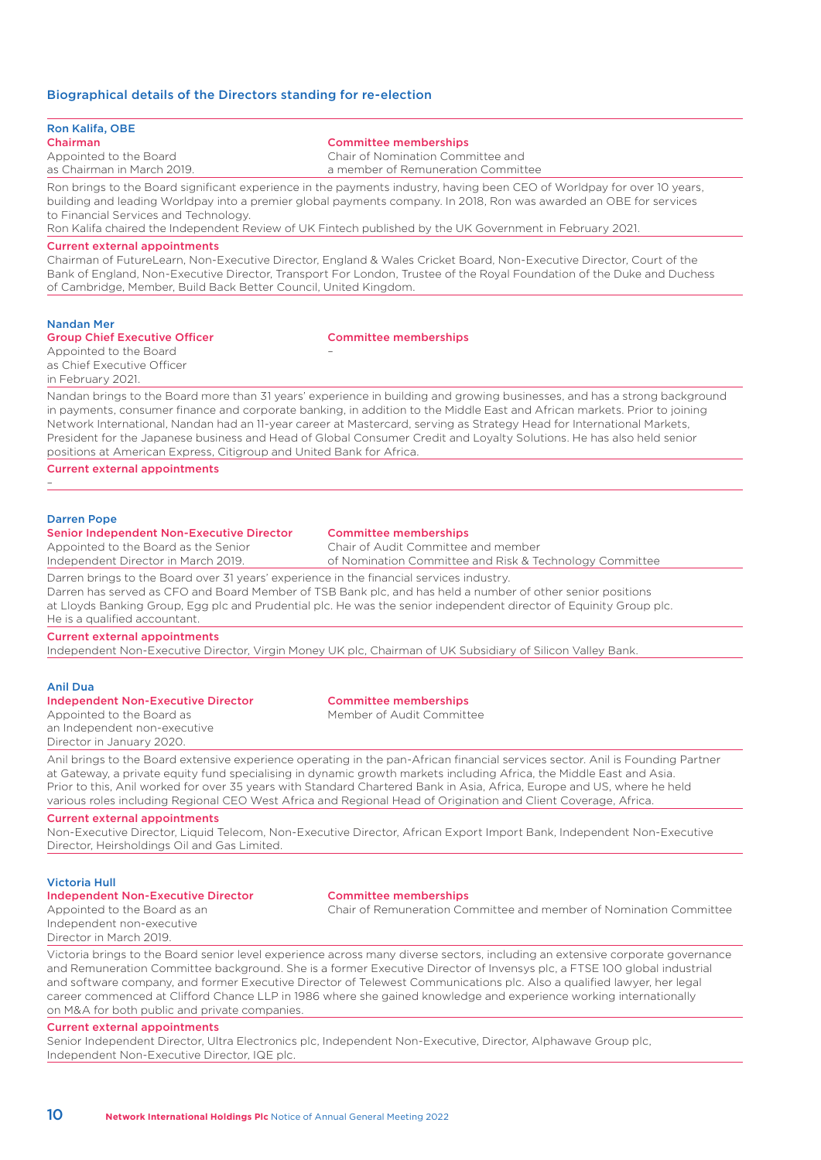# Biographical details of the Directors standing for re-election

| Chairman<br><b>Committee memberships</b><br>Appointed to the Board<br>Chair of Nomination Committee and<br>a member of Remuneration Committee<br>as Chairman in March 2019.<br>Ron brings to the Board significant experience in the payments industry, having been CEO of Worldpay for over 10 years,<br>building and leading Worldpay into a premier global payments company. In 2018, Ron was awarded an OBE for services<br>to Financial Services and Technology.<br>Ron Kalifa chaired the Independent Review of UK Fintech published by the UK Government in February 2021.<br><b>Current external appointments</b><br>Chairman of FutureLearn, Non-Executive Director, England & Wales Cricket Board, Non-Executive Director, Court of the<br>Bank of England, Non-Executive Director, Transport For London, Trustee of the Royal Foundation of the Duke and Duchess<br>of Cambridge, Member, Build Back Better Council, United Kingdom.<br><b>Nandan Mer</b><br><b>Group Chief Executive Officer</b><br><b>Committee memberships</b><br>Appointed to the Board<br>as Chief Executive Officer<br>in February 2021.<br>Nandan brings to the Board more than 31 years' experience in building and growing businesses, and has a strong background<br>in payments, consumer finance and corporate banking, in addition to the Middle East and African markets. Prior to joining<br>Network International, Nandan had an 11-year career at Mastercard, serving as Strategy Head for International Markets,<br>President for the Japanese business and Head of Global Consumer Credit and Loyalty Solutions. He has also held senior<br>positions at American Express, Citigroup and United Bank for Africa.<br><b>Current external appointments</b> |  |  |  |  |  |  |
|--------------------------------------------------------------------------------------------------------------------------------------------------------------------------------------------------------------------------------------------------------------------------------------------------------------------------------------------------------------------------------------------------------------------------------------------------------------------------------------------------------------------------------------------------------------------------------------------------------------------------------------------------------------------------------------------------------------------------------------------------------------------------------------------------------------------------------------------------------------------------------------------------------------------------------------------------------------------------------------------------------------------------------------------------------------------------------------------------------------------------------------------------------------------------------------------------------------------------------------------------------------------------------------------------------------------------------------------------------------------------------------------------------------------------------------------------------------------------------------------------------------------------------------------------------------------------------------------------------------------------------------------------------------------------------------------------------------------------------------------------------|--|--|--|--|--|--|
|                                                                                                                                                                                                                                                                                                                                                                                                                                                                                                                                                                                                                                                                                                                                                                                                                                                                                                                                                                                                                                                                                                                                                                                                                                                                                                                                                                                                                                                                                                                                                                                                                                                                                                                                                        |  |  |  |  |  |  |
|                                                                                                                                                                                                                                                                                                                                                                                                                                                                                                                                                                                                                                                                                                                                                                                                                                                                                                                                                                                                                                                                                                                                                                                                                                                                                                                                                                                                                                                                                                                                                                                                                                                                                                                                                        |  |  |  |  |  |  |
|                                                                                                                                                                                                                                                                                                                                                                                                                                                                                                                                                                                                                                                                                                                                                                                                                                                                                                                                                                                                                                                                                                                                                                                                                                                                                                                                                                                                                                                                                                                                                                                                                                                                                                                                                        |  |  |  |  |  |  |
|                                                                                                                                                                                                                                                                                                                                                                                                                                                                                                                                                                                                                                                                                                                                                                                                                                                                                                                                                                                                                                                                                                                                                                                                                                                                                                                                                                                                                                                                                                                                                                                                                                                                                                                                                        |  |  |  |  |  |  |
|                                                                                                                                                                                                                                                                                                                                                                                                                                                                                                                                                                                                                                                                                                                                                                                                                                                                                                                                                                                                                                                                                                                                                                                                                                                                                                                                                                                                                                                                                                                                                                                                                                                                                                                                                        |  |  |  |  |  |  |
|                                                                                                                                                                                                                                                                                                                                                                                                                                                                                                                                                                                                                                                                                                                                                                                                                                                                                                                                                                                                                                                                                                                                                                                                                                                                                                                                                                                                                                                                                                                                                                                                                                                                                                                                                        |  |  |  |  |  |  |
|                                                                                                                                                                                                                                                                                                                                                                                                                                                                                                                                                                                                                                                                                                                                                                                                                                                                                                                                                                                                                                                                                                                                                                                                                                                                                                                                                                                                                                                                                                                                                                                                                                                                                                                                                        |  |  |  |  |  |  |
|                                                                                                                                                                                                                                                                                                                                                                                                                                                                                                                                                                                                                                                                                                                                                                                                                                                                                                                                                                                                                                                                                                                                                                                                                                                                                                                                                                                                                                                                                                                                                                                                                                                                                                                                                        |  |  |  |  |  |  |
|                                                                                                                                                                                                                                                                                                                                                                                                                                                                                                                                                                                                                                                                                                                                                                                                                                                                                                                                                                                                                                                                                                                                                                                                                                                                                                                                                                                                                                                                                                                                                                                                                                                                                                                                                        |  |  |  |  |  |  |
|                                                                                                                                                                                                                                                                                                                                                                                                                                                                                                                                                                                                                                                                                                                                                                                                                                                                                                                                                                                                                                                                                                                                                                                                                                                                                                                                                                                                                                                                                                                                                                                                                                                                                                                                                        |  |  |  |  |  |  |
|                                                                                                                                                                                                                                                                                                                                                                                                                                                                                                                                                                                                                                                                                                                                                                                                                                                                                                                                                                                                                                                                                                                                                                                                                                                                                                                                                                                                                                                                                                                                                                                                                                                                                                                                                        |  |  |  |  |  |  |
|                                                                                                                                                                                                                                                                                                                                                                                                                                                                                                                                                                                                                                                                                                                                                                                                                                                                                                                                                                                                                                                                                                                                                                                                                                                                                                                                                                                                                                                                                                                                                                                                                                                                                                                                                        |  |  |  |  |  |  |
|                                                                                                                                                                                                                                                                                                                                                                                                                                                                                                                                                                                                                                                                                                                                                                                                                                                                                                                                                                                                                                                                                                                                                                                                                                                                                                                                                                                                                                                                                                                                                                                                                                                                                                                                                        |  |  |  |  |  |  |
|                                                                                                                                                                                                                                                                                                                                                                                                                                                                                                                                                                                                                                                                                                                                                                                                                                                                                                                                                                                                                                                                                                                                                                                                                                                                                                                                                                                                                                                                                                                                                                                                                                                                                                                                                        |  |  |  |  |  |  |
|                                                                                                                                                                                                                                                                                                                                                                                                                                                                                                                                                                                                                                                                                                                                                                                                                                                                                                                                                                                                                                                                                                                                                                                                                                                                                                                                                                                                                                                                                                                                                                                                                                                                                                                                                        |  |  |  |  |  |  |
|                                                                                                                                                                                                                                                                                                                                                                                                                                                                                                                                                                                                                                                                                                                                                                                                                                                                                                                                                                                                                                                                                                                                                                                                                                                                                                                                                                                                                                                                                                                                                                                                                                                                                                                                                        |  |  |  |  |  |  |
|                                                                                                                                                                                                                                                                                                                                                                                                                                                                                                                                                                                                                                                                                                                                                                                                                                                                                                                                                                                                                                                                                                                                                                                                                                                                                                                                                                                                                                                                                                                                                                                                                                                                                                                                                        |  |  |  |  |  |  |
|                                                                                                                                                                                                                                                                                                                                                                                                                                                                                                                                                                                                                                                                                                                                                                                                                                                                                                                                                                                                                                                                                                                                                                                                                                                                                                                                                                                                                                                                                                                                                                                                                                                                                                                                                        |  |  |  |  |  |  |
|                                                                                                                                                                                                                                                                                                                                                                                                                                                                                                                                                                                                                                                                                                                                                                                                                                                                                                                                                                                                                                                                                                                                                                                                                                                                                                                                                                                                                                                                                                                                                                                                                                                                                                                                                        |  |  |  |  |  |  |
|                                                                                                                                                                                                                                                                                                                                                                                                                                                                                                                                                                                                                                                                                                                                                                                                                                                                                                                                                                                                                                                                                                                                                                                                                                                                                                                                                                                                                                                                                                                                                                                                                                                                                                                                                        |  |  |  |  |  |  |
| <b>Darren Pope</b><br><b>Senior Independent Non-Executive Director</b><br><b>Committee memberships</b>                                                                                                                                                                                                                                                                                                                                                                                                                                                                                                                                                                                                                                                                                                                                                                                                                                                                                                                                                                                                                                                                                                                                                                                                                                                                                                                                                                                                                                                                                                                                                                                                                                                 |  |  |  |  |  |  |
| Chair of Audit Committee and member<br>Appointed to the Board as the Senior                                                                                                                                                                                                                                                                                                                                                                                                                                                                                                                                                                                                                                                                                                                                                                                                                                                                                                                                                                                                                                                                                                                                                                                                                                                                                                                                                                                                                                                                                                                                                                                                                                                                            |  |  |  |  |  |  |
| Independent Director in March 2019.<br>of Nomination Committee and Risk & Technology Committee                                                                                                                                                                                                                                                                                                                                                                                                                                                                                                                                                                                                                                                                                                                                                                                                                                                                                                                                                                                                                                                                                                                                                                                                                                                                                                                                                                                                                                                                                                                                                                                                                                                         |  |  |  |  |  |  |
| Darren brings to the Board over 31 years' experience in the financial services industry.<br>Darren has served as CFO and Board Member of TSB Bank plc, and has held a number of other senior positions                                                                                                                                                                                                                                                                                                                                                                                                                                                                                                                                                                                                                                                                                                                                                                                                                                                                                                                                                                                                                                                                                                                                                                                                                                                                                                                                                                                                                                                                                                                                                 |  |  |  |  |  |  |
| at Lloyds Banking Group, Egg plc and Prudential plc. He was the senior independent director of Equinity Group plc.                                                                                                                                                                                                                                                                                                                                                                                                                                                                                                                                                                                                                                                                                                                                                                                                                                                                                                                                                                                                                                                                                                                                                                                                                                                                                                                                                                                                                                                                                                                                                                                                                                     |  |  |  |  |  |  |
| He is a qualified accountant.                                                                                                                                                                                                                                                                                                                                                                                                                                                                                                                                                                                                                                                                                                                                                                                                                                                                                                                                                                                                                                                                                                                                                                                                                                                                                                                                                                                                                                                                                                                                                                                                                                                                                                                          |  |  |  |  |  |  |
| <b>Current external appointments</b><br>Independent Non-Executive Director, Virgin Money UK plc, Chairman of UK Subsidiary of Silicon Valley Bank.                                                                                                                                                                                                                                                                                                                                                                                                                                                                                                                                                                                                                                                                                                                                                                                                                                                                                                                                                                                                                                                                                                                                                                                                                                                                                                                                                                                                                                                                                                                                                                                                     |  |  |  |  |  |  |
|                                                                                                                                                                                                                                                                                                                                                                                                                                                                                                                                                                                                                                                                                                                                                                                                                                                                                                                                                                                                                                                                                                                                                                                                                                                                                                                                                                                                                                                                                                                                                                                                                                                                                                                                                        |  |  |  |  |  |  |
| <b>Anil Dua</b>                                                                                                                                                                                                                                                                                                                                                                                                                                                                                                                                                                                                                                                                                                                                                                                                                                                                                                                                                                                                                                                                                                                                                                                                                                                                                                                                                                                                                                                                                                                                                                                                                                                                                                                                        |  |  |  |  |  |  |
| <b>Independent Non-Executive Director</b><br><b>Committee memberships</b>                                                                                                                                                                                                                                                                                                                                                                                                                                                                                                                                                                                                                                                                                                                                                                                                                                                                                                                                                                                                                                                                                                                                                                                                                                                                                                                                                                                                                                                                                                                                                                                                                                                                              |  |  |  |  |  |  |
| Member of Audit Committee<br>Appointed to the Board as<br>an Independent non-executive                                                                                                                                                                                                                                                                                                                                                                                                                                                                                                                                                                                                                                                                                                                                                                                                                                                                                                                                                                                                                                                                                                                                                                                                                                                                                                                                                                                                                                                                                                                                                                                                                                                                 |  |  |  |  |  |  |
| Director in January 2020.                                                                                                                                                                                                                                                                                                                                                                                                                                                                                                                                                                                                                                                                                                                                                                                                                                                                                                                                                                                                                                                                                                                                                                                                                                                                                                                                                                                                                                                                                                                                                                                                                                                                                                                              |  |  |  |  |  |  |
| Anil brings to the Board extensive experience operating in the pan-African financial services sector. Anil is Founding Partner                                                                                                                                                                                                                                                                                                                                                                                                                                                                                                                                                                                                                                                                                                                                                                                                                                                                                                                                                                                                                                                                                                                                                                                                                                                                                                                                                                                                                                                                                                                                                                                                                         |  |  |  |  |  |  |
| at Gateway, a private equity fund specialising in dynamic growth markets including Africa, the Middle East and Asia.                                                                                                                                                                                                                                                                                                                                                                                                                                                                                                                                                                                                                                                                                                                                                                                                                                                                                                                                                                                                                                                                                                                                                                                                                                                                                                                                                                                                                                                                                                                                                                                                                                   |  |  |  |  |  |  |
| Prior to this, Anil worked for over 35 years with Standard Chartered Bank in Asia, Africa, Europe and US, where he held<br>various roles including Regional CEO West Africa and Regional Head of Origination and Client Coverage, Africa.                                                                                                                                                                                                                                                                                                                                                                                                                                                                                                                                                                                                                                                                                                                                                                                                                                                                                                                                                                                                                                                                                                                                                                                                                                                                                                                                                                                                                                                                                                              |  |  |  |  |  |  |
| <b>Current external appointments</b>                                                                                                                                                                                                                                                                                                                                                                                                                                                                                                                                                                                                                                                                                                                                                                                                                                                                                                                                                                                                                                                                                                                                                                                                                                                                                                                                                                                                                                                                                                                                                                                                                                                                                                                   |  |  |  |  |  |  |
| Non-Executive Director, Liquid Telecom, Non-Executive Director, African Export Import Bank, Independent Non-Executive                                                                                                                                                                                                                                                                                                                                                                                                                                                                                                                                                                                                                                                                                                                                                                                                                                                                                                                                                                                                                                                                                                                                                                                                                                                                                                                                                                                                                                                                                                                                                                                                                                  |  |  |  |  |  |  |
| Director, Heirsholdings Oil and Gas Limited.                                                                                                                                                                                                                                                                                                                                                                                                                                                                                                                                                                                                                                                                                                                                                                                                                                                                                                                                                                                                                                                                                                                                                                                                                                                                                                                                                                                                                                                                                                                                                                                                                                                                                                           |  |  |  |  |  |  |
| <b>Victoria Hull</b>                                                                                                                                                                                                                                                                                                                                                                                                                                                                                                                                                                                                                                                                                                                                                                                                                                                                                                                                                                                                                                                                                                                                                                                                                                                                                                                                                                                                                                                                                                                                                                                                                                                                                                                                   |  |  |  |  |  |  |
| <b>Independent Non-Executive Director</b><br><b>Committee memberships</b>                                                                                                                                                                                                                                                                                                                                                                                                                                                                                                                                                                                                                                                                                                                                                                                                                                                                                                                                                                                                                                                                                                                                                                                                                                                                                                                                                                                                                                                                                                                                                                                                                                                                              |  |  |  |  |  |  |
| Chair of Remuneration Committee and member of Nomination Committee<br>Appointed to the Board as an                                                                                                                                                                                                                                                                                                                                                                                                                                                                                                                                                                                                                                                                                                                                                                                                                                                                                                                                                                                                                                                                                                                                                                                                                                                                                                                                                                                                                                                                                                                                                                                                                                                     |  |  |  |  |  |  |
| Independent non-executive<br>Director in March 2019.                                                                                                                                                                                                                                                                                                                                                                                                                                                                                                                                                                                                                                                                                                                                                                                                                                                                                                                                                                                                                                                                                                                                                                                                                                                                                                                                                                                                                                                                                                                                                                                                                                                                                                   |  |  |  |  |  |  |
| Victoria brings to the Board senior level experience across many diverse sectors, including an extensive corporate governance                                                                                                                                                                                                                                                                                                                                                                                                                                                                                                                                                                                                                                                                                                                                                                                                                                                                                                                                                                                                                                                                                                                                                                                                                                                                                                                                                                                                                                                                                                                                                                                                                          |  |  |  |  |  |  |
| and Remuneration Committee background. She is a former Executive Director of Invensys plc, a FTSE 100 global industrial                                                                                                                                                                                                                                                                                                                                                                                                                                                                                                                                                                                                                                                                                                                                                                                                                                                                                                                                                                                                                                                                                                                                                                                                                                                                                                                                                                                                                                                                                                                                                                                                                                |  |  |  |  |  |  |
| and software company, and former Executive Director of Telewest Communications plc. Also a qualified lawyer, her legal<br>career commenced at Clifford Chance LLP in 1986 where she gained knowledge and experience working internationally                                                                                                                                                                                                                                                                                                                                                                                                                                                                                                                                                                                                                                                                                                                                                                                                                                                                                                                                                                                                                                                                                                                                                                                                                                                                                                                                                                                                                                                                                                            |  |  |  |  |  |  |
| on M&A for both public and private companies.                                                                                                                                                                                                                                                                                                                                                                                                                                                                                                                                                                                                                                                                                                                                                                                                                                                                                                                                                                                                                                                                                                                                                                                                                                                                                                                                                                                                                                                                                                                                                                                                                                                                                                          |  |  |  |  |  |  |

# Current external appointments

Senior Independent Director, Ultra Electronics plc, Independent Non-Executive, Director, Alphawave Group plc, Independent Non-Executive Director, IQE plc.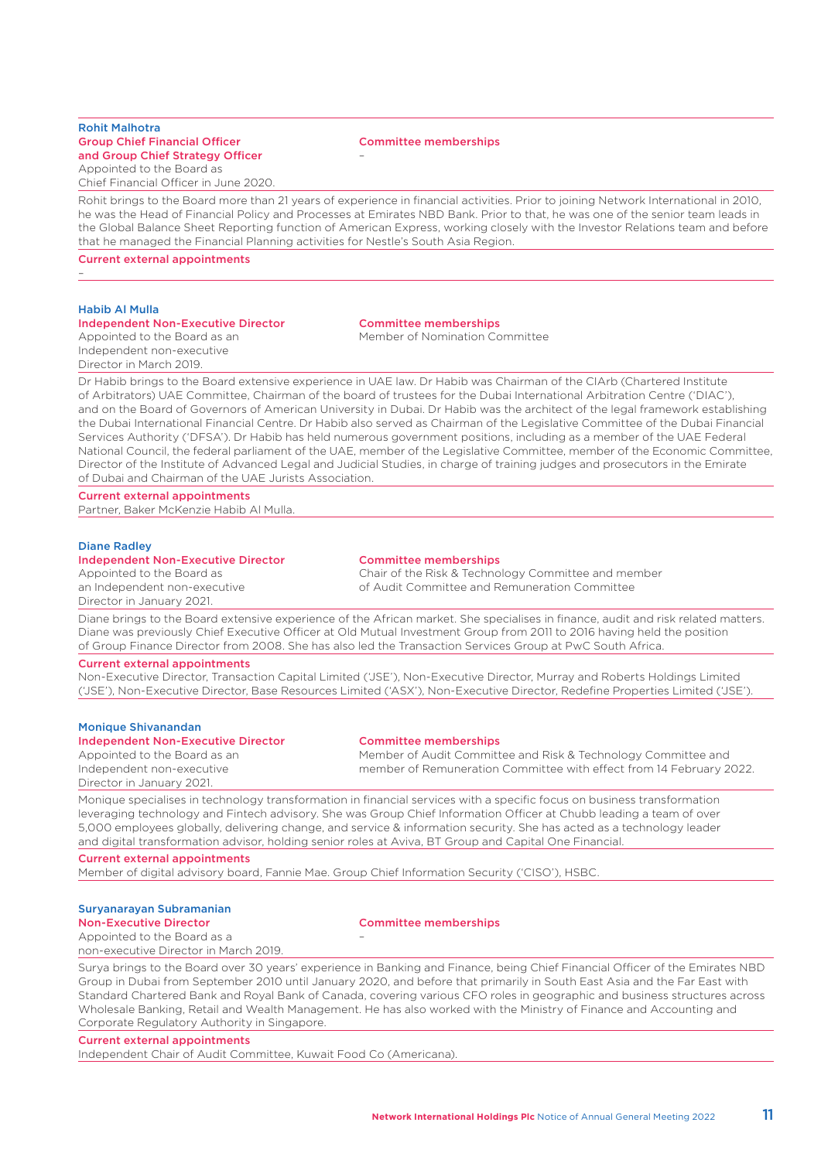# Rohit Malhotra Group Chief Financial Officer and Group Chief Strategy Officer Appointed to the Board as

Chief Financial Officer in June 2020.

### Committee memberships

–

Rohit brings to the Board more than 21 years of experience in financial activities. Prior to joining Network International in 2010, he was the Head of Financial Policy and Processes at Emirates NBD Bank. Prior to that, he was one of the senior team leads in the Global Balance Sheet Reporting function of American Express, working closely with the Investor Relations team and before that he managed the Financial Planning activities for Nestle's South Asia Region.

Current external appointments

# Habib Al Mulla

–

# Independent Non-Executive Director Committee memberships

Appointed to the Board as an Independent non-executive Director in March 2019.

Member of Nomination Committee

Dr Habib brings to the Board extensive experience in UAE law. Dr Habib was Chairman of the CIArb (Chartered Institute of Arbitrators) UAE Committee, Chairman of the board of trustees for the Dubai International Arbitration Centre ('DIAC'), and on the Board of Governors of American University in Dubai. Dr Habib was the architect of the legal framework establishing the Dubai International Financial Centre. Dr Habib also served as Chairman of the Legislative Committee of the Dubai Financial Services Authority ('DFSA'). Dr Habib has held numerous government positions, including as a member of the UAE Federal National Council, the federal parliament of the UAE, member of the Legislative Committee, member of the Economic Committee, Director of the Institute of Advanced Legal and Judicial Studies, in charge of training judges and prosecutors in the Emirate of Dubai and Chairman of the UAE Jurists Association.

Current external appointments

Partner, Baker McKenzie Habib Al Mulla.

### Diane Radley

### Independent Non-Executive Director Committee memberships

Appointed to the Board as an Independent non-executive Director in January 2021.

Chair of the Risk & Technology Committee and member of Audit Committee and Remuneration Committee

Diane brings to the Board extensive experience of the African market. She specialises in finance, audit and risk related matters. Diane was previously Chief Executive Officer at Old Mutual Investment Group from 2011 to 2016 having held the position of Group Finance Director from 2008. She has also led the Transaction Services Group at PwC South Africa.

### Current external appointments

Non-Executive Director, Transaction Capital Limited ('JSE'), Non-Executive Director, Murray and Roberts Holdings Limited ('JSE'), Non-Executive Director, Base Resources Limited ('ASX'), Non-Executive Director, Redefine Properties Limited ('JSE').

### Monique Shivanandan

### Independent Non-Executive Director Committee memberships

Appointed to the Board as an Independent non-executive Director in January 2021.

Member of Audit Committee and Risk & Technology Committee and member of Remuneration Committee with effect from 14 February 2022.

Monique specialises in technology transformation in financial services with a specific focus on business transformation leveraging technology and Fintech advisory. She was Group Chief Information Officer at Chubb leading a team of over 5,000 employees globally, delivering change, and service & information security. She has acted as a technology leader and digital transformation advisor, holding senior roles at Aviva, BT Group and Capital One Financial.

### Current external appointments

Member of digital advisory board, Fannie Mae. Group Chief Information Security ('CISO'), HSBC.

–

# Suryanarayan Subramanian

Appointed to the Board as a non-executive Director in March 2019.

# Non-Executive Director Committee memberships

Surya brings to the Board over 30 years' experience in Banking and Finance, being Chief Financial Officer of the Emirates NBD Group in Dubai from September 2010 until January 2020, and before that primarily in South East Asia and the Far East with Standard Chartered Bank and Royal Bank of Canada, covering various CFO roles in geographic and business structures across Wholesale Banking, Retail and Wealth Management. He has also worked with the Ministry of Finance and Accounting and Corporate Regulatory Authority in Singapore.

### Current external appointments

Independent Chair of Audit Committee, Kuwait Food Co (Americana).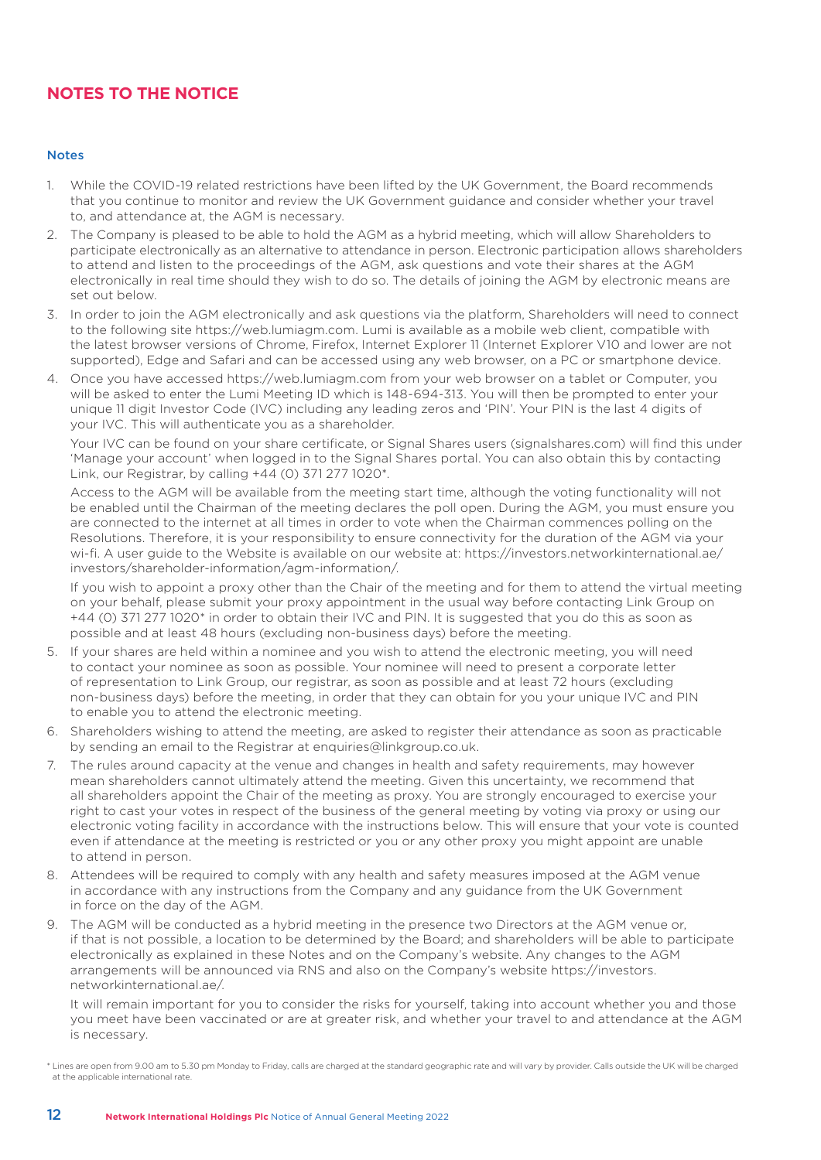# **NOTES TO THE NOTICE**

# Notes

- 1. While the COVID-19 related restrictions have been lifted by the UK Government, the Board recommends that you continue to monitor and review the UK Government guidance and consider whether your travel to, and attendance at, the AGM is necessary.
- 2. The Company is pleased to be able to hold the AGM as a hybrid meeting, which will allow Shareholders to participate electronically as an alternative to attendance in person. Electronic participation allows shareholders to attend and listen to the proceedings of the AGM, ask questions and vote their shares at the AGM electronically in real time should they wish to do so. The details of joining the AGM by electronic means are set out below.
- 3. In order to join the AGM electronically and ask questions via the platform, Shareholders will need to connect to the following site https://web.lumiagm.com. Lumi is available as a mobile web client, compatible with the latest browser versions of Chrome, Firefox, Internet Explorer 11 (Internet Explorer V10 and lower are not supported), Edge and Safari and can be accessed using any web browser, on a PC or smartphone device.
- 4. Once you have accessed https://web.lumiagm.com from your web browser on a tablet or Computer, you will be asked to enter the Lumi Meeting ID which is 148-694-313. You will then be prompted to enter your unique 11 digit Investor Code (IVC) including any leading zeros and 'PIN'. Your PIN is the last 4 digits of your IVC. This will authenticate you as a shareholder.

 Your IVC can be found on your share certificate, or Signal Shares users (signalshares.com) will find this under 'Manage your account' when logged in to the Signal Shares portal. You can also obtain this by contacting Link, our Registrar, by calling +44 (0) 371 277 1020\*.

 Access to the AGM will be available from the meeting start time, although the voting functionality will not be enabled until the Chairman of the meeting declares the poll open. During the AGM, you must ensure you are connected to the internet at all times in order to vote when the Chairman commences polling on the Resolutions. Therefore, it is your responsibility to ensure connectivity for the duration of the AGM via your wi-fi. A user guide to the Website is available on our website at: https://investors.networkinternational.ae/ investors/shareholder-information/agm-information/.

 If you wish to appoint a proxy other than the Chair of the meeting and for them to attend the virtual meeting on your behalf, please submit your proxy appointment in the usual way before contacting Link Group on +44 (0) 371 277 1020\* in order to obtain their IVC and PIN. It is suggested that you do this as soon as possible and at least 48 hours (excluding non-business days) before the meeting.

- 5. If your shares are held within a nominee and you wish to attend the electronic meeting, you will need to contact your nominee as soon as possible. Your nominee will need to present a corporate letter of representation to Link Group, our registrar, as soon as possible and at least 72 hours (excluding non-business days) before the meeting, in order that they can obtain for you your unique IVC and PIN to enable you to attend the electronic meeting.
- 6. Shareholders wishing to attend the meeting, are asked to register their attendance as soon as practicable by sending an email to the Registrar at enquiries@linkgroup.co.uk.
- 7. The rules around capacity at the venue and changes in health and safety requirements, may however mean shareholders cannot ultimately attend the meeting. Given this uncertainty, we recommend that all shareholders appoint the Chair of the meeting as proxy. You are strongly encouraged to exercise your right to cast your votes in respect of the business of the general meeting by voting via proxy or using our electronic voting facility in accordance with the instructions below. This will ensure that your vote is counted even if attendance at the meeting is restricted or you or any other proxy you might appoint are unable to attend in person.
- 8. Attendees will be required to comply with any health and safety measures imposed at the AGM venue in accordance with any instructions from the Company and any guidance from the UK Government in force on the day of the AGM.
- 9. The AGM will be conducted as a hybrid meeting in the presence two Directors at the AGM venue or, if that is not possible, a location to be determined by the Board; and shareholders will be able to participate electronically as explained in these Notes and on the Company's website. Any changes to the AGM arrangements will be announced via RNS and also on the Company's website https://investors. networkinternational.ae/.

 It will remain important for you to consider the risks for yourself, taking into account whether you and those you meet have been vaccinated or are at greater risk, and whether your travel to and attendance at the AGM is necessary.

\* Lines are open from 9.00 am to 5.30 pm Monday to Friday, calls are charged at the standard geographic rate and will vary by provider. Calls outside the UK will be charged at the applicable international rate.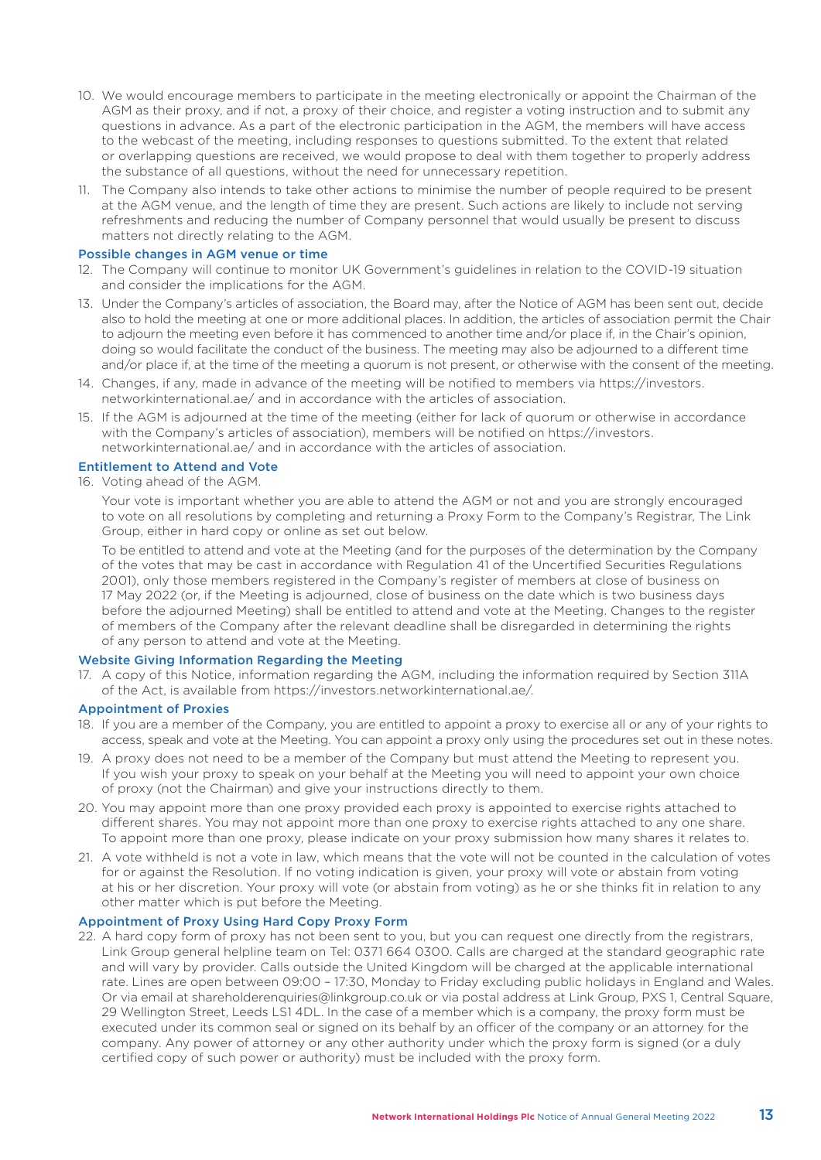- 10. We would encourage members to participate in the meeting electronically or appoint the Chairman of the AGM as their proxy, and if not, a proxy of their choice, and register a voting instruction and to submit any questions in advance. As a part of the electronic participation in the AGM, the members will have access to the webcast of the meeting, including responses to questions submitted. To the extent that related or overlapping questions are received, we would propose to deal with them together to properly address the substance of all questions, without the need for unnecessary repetition.
- 11. The Company also intends to take other actions to minimise the number of people required to be present at the AGM venue, and the length of time they are present. Such actions are likely to include not serving refreshments and reducing the number of Company personnel that would usually be present to discuss matters not directly relating to the AGM.

# Possible changes in AGM venue or time

- 12. The Company will continue to monitor UK Government's guidelines in relation to the COVID-19 situation and consider the implications for the AGM.
- 13. Under the Company's articles of association, the Board may, after the Notice of AGM has been sent out, decide also to hold the meeting at one or more additional places. In addition, the articles of association permit the Chair to adjourn the meeting even before it has commenced to another time and/or place if, in the Chair's opinion, doing so would facilitate the conduct of the business. The meeting may also be adjourned to a different time and/or place if, at the time of the meeting a quorum is not present, or otherwise with the consent of the meeting.
- 14. Changes, if any, made in advance of the meeting will be notified to members via https://investors. networkinternational.ae/ and in accordance with the articles of association.
- 15. If the AGM is adjourned at the time of the meeting (either for lack of quorum or otherwise in accordance with the Company's articles of association), members will be notified on https://investors. networkinternational.ae/ and in accordance with the articles of association.

# Entitlement to Attend and Vote

16. Voting ahead of the AGM.

 Your vote is important whether you are able to attend the AGM or not and you are strongly encouraged to vote on all resolutions by completing and returning a Proxy Form to the Company's Registrar, The Link Group, either in hard copy or online as set out below.

 To be entitled to attend and vote at the Meeting (and for the purposes of the determination by the Company of the votes that may be cast in accordance with Regulation 41 of the Uncertified Securities Regulations 2001), only those members registered in the Company's register of members at close of business on 17 May 2022 (or, if the Meeting is adjourned, close of business on the date which is two business days before the adjourned Meeting) shall be entitled to attend and vote at the Meeting. Changes to the register of members of the Company after the relevant deadline shall be disregarded in determining the rights of any person to attend and vote at the Meeting.

# Website Giving Information Regarding the Meeting

17. A copy of this Notice, information regarding the AGM, including the information required by Section 311A of the Act, is available from https://investors.networkinternational.ae/.

# Appointment of Proxies

- 18. If you are a member of the Company, you are entitled to appoint a proxy to exercise all or any of your rights to access, speak and vote at the Meeting. You can appoint a proxy only using the procedures set out in these notes.
- 19. A proxy does not need to be a member of the Company but must attend the Meeting to represent you. If you wish your proxy to speak on your behalf at the Meeting you will need to appoint your own choice of proxy (not the Chairman) and give your instructions directly to them.
- 20. You may appoint more than one proxy provided each proxy is appointed to exercise rights attached to different shares. You may not appoint more than one proxy to exercise rights attached to any one share. To appoint more than one proxy, please indicate on your proxy submission how many shares it relates to.
- 21. A vote withheld is not a vote in law, which means that the vote will not be counted in the calculation of votes for or against the Resolution. If no voting indication is given, your proxy will vote or abstain from voting at his or her discretion. Your proxy will vote (or abstain from voting) as he or she thinks fit in relation to any other matter which is put before the Meeting.

# Appointment of Proxy Using Hard Copy Proxy Form

22. A hard copy form of proxy has not been sent to you, but you can request one directly from the registrars, Link Group general helpline team on Tel: 0371 664 0300. Calls are charged at the standard geographic rate and will vary by provider. Calls outside the United Kingdom will be charged at the applicable international rate. Lines are open between 09:00 – 17:30, Monday to Friday excluding public holidays in England and Wales. Or via email at shareholderenquiries@linkgroup.co.uk or via postal address at Link Group, PXS 1, Central Square, 29 Wellington Street, Leeds LS1 4DL. In the case of a member which is a company, the proxy form must be executed under its common seal or signed on its behalf by an officer of the company or an attorney for the company. Any power of attorney or any other authority under which the proxy form is signed (or a duly certified copy of such power or authority) must be included with the proxy form.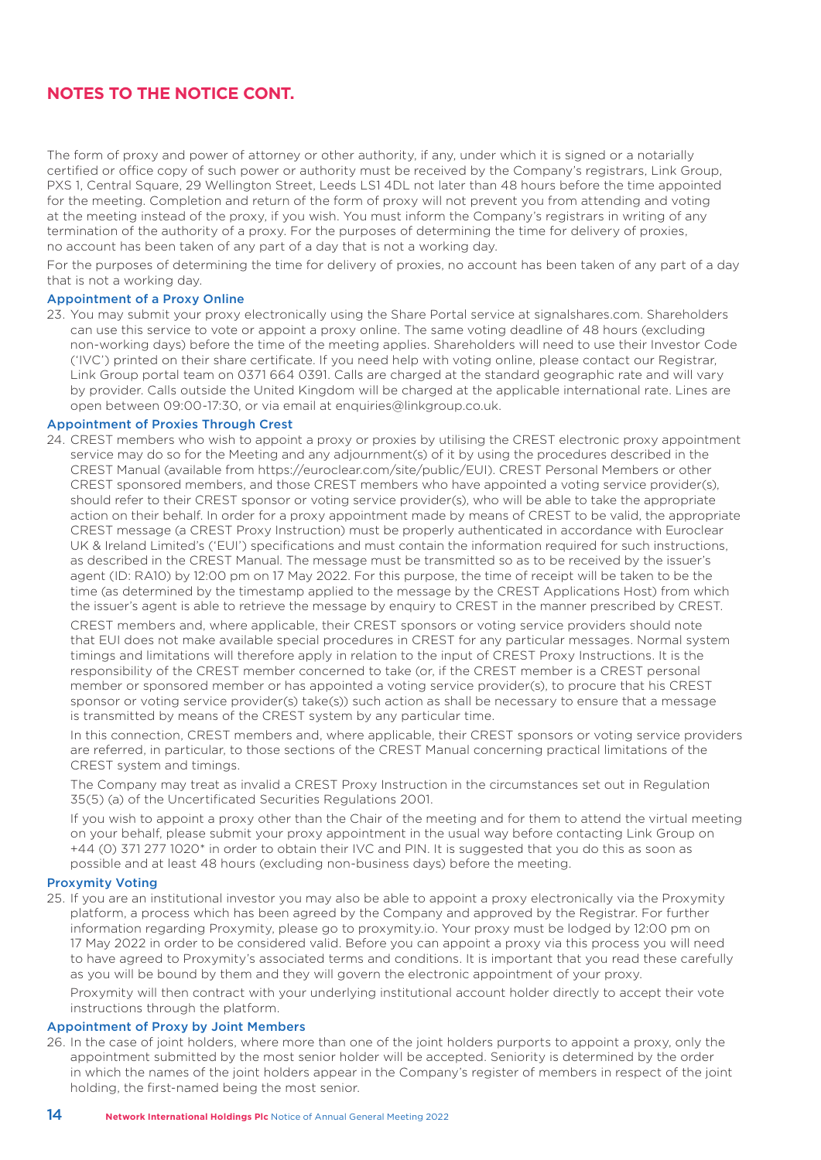# **NOTES TO THE NOTICE CONT.**

The form of proxy and power of attorney or other authority, if any, under which it is signed or a notarially certified or office copy of such power or authority must be received by the Company's registrars, Link Group, PXS 1, Central Square, 29 Wellington Street, Leeds LS1 4DL not later than 48 hours before the time appointed for the meeting. Completion and return of the form of proxy will not prevent you from attending and voting at the meeting instead of the proxy, if you wish. You must inform the Company's registrars in writing of any termination of the authority of a proxy. For the purposes of determining the time for delivery of proxies, no account has been taken of any part of a day that is not a working day.

For the purposes of determining the time for delivery of proxies, no account has been taken of any part of a day that is not a working day.

# Appointment of a Proxy Online

23. You may submit your proxy electronically using the Share Portal service at signalshares.com. Shareholders can use this service to vote or appoint a proxy online. The same voting deadline of 48 hours (excluding non-working days) before the time of the meeting applies. Shareholders will need to use their Investor Code ('IVC') printed on their share certificate. If you need help with voting online, please contact our Registrar, Link Group portal team on 0371 664 0391. Calls are charged at the standard geographic rate and will vary by provider. Calls outside the United Kingdom will be charged at the applicable international rate. Lines are open between 09:00-17:30, or via email at enquiries@linkgroup.co.uk.

# Appointment of Proxies Through Crest

24. CREST members who wish to appoint a proxy or proxies by utilising the CREST electronic proxy appointment service may do so for the Meeting and any adjournment(s) of it by using the procedures described in the CREST Manual (available from https://euroclear.com/site/public/EUI). CREST Personal Members or other CREST sponsored members, and those CREST members who have appointed a voting service provider(s), should refer to their CREST sponsor or voting service provider(s), who will be able to take the appropriate action on their behalf. In order for a proxy appointment made by means of CREST to be valid, the appropriate CREST message (a CREST Proxy Instruction) must be properly authenticated in accordance with Euroclear UK & Ireland Limited's ('EUI') specifications and must contain the information required for such instructions, as described in the CREST Manual. The message must be transmitted so as to be received by the issuer's agent (ID: RA10) by 12:00 pm on 17 May 2022. For this purpose, the time of receipt will be taken to be the time (as determined by the timestamp applied to the message by the CREST Applications Host) from which the issuer's agent is able to retrieve the message by enquiry to CREST in the manner prescribed by CREST.

 CREST members and, where applicable, their CREST sponsors or voting service providers should note that EUI does not make available special procedures in CREST for any particular messages. Normal system timings and limitations will therefore apply in relation to the input of CREST Proxy Instructions. It is the responsibility of the CREST member concerned to take (or, if the CREST member is a CREST personal member or sponsored member or has appointed a voting service provider(s), to procure that his CREST sponsor or voting service provider(s) take(s)) such action as shall be necessary to ensure that a message is transmitted by means of the CREST system by any particular time.

 In this connection, CREST members and, where applicable, their CREST sponsors or voting service providers are referred, in particular, to those sections of the CREST Manual concerning practical limitations of the CREST system and timings.

 The Company may treat as invalid a CREST Proxy Instruction in the circumstances set out in Regulation 35(5) (a) of the Uncertificated Securities Regulations 2001.

 If you wish to appoint a proxy other than the Chair of the meeting and for them to attend the virtual meeting on your behalf, please submit your proxy appointment in the usual way before contacting Link Group on +44 (0) 371 277 1020\* in order to obtain their IVC and PIN. It is suggested that you do this as soon as possible and at least 48 hours (excluding non-business days) before the meeting.

# Proxymity Voting

25. If you are an institutional investor you may also be able to appoint a proxy electronically via the Proxymity platform, a process which has been agreed by the Company and approved by the Registrar. For further information regarding Proxymity, please go to proxymity.io. Your proxy must be lodged by 12:00 pm on 17 May 2022 in order to be considered valid. Before you can appoint a proxy via this process you will need to have agreed to Proxymity's associated terms and conditions. It is important that you read these carefully as you will be bound by them and they will govern the electronic appointment of your proxy.

 Proxymity will then contract with your underlying institutional account holder directly to accept their vote instructions through the platform.

# Appointment of Proxy by Joint Members

26. In the case of joint holders, where more than one of the joint holders purports to appoint a proxy, only the appointment submitted by the most senior holder will be accepted. Seniority is determined by the order in which the names of the joint holders appear in the Company's register of members in respect of the joint holding, the first-named being the most senior.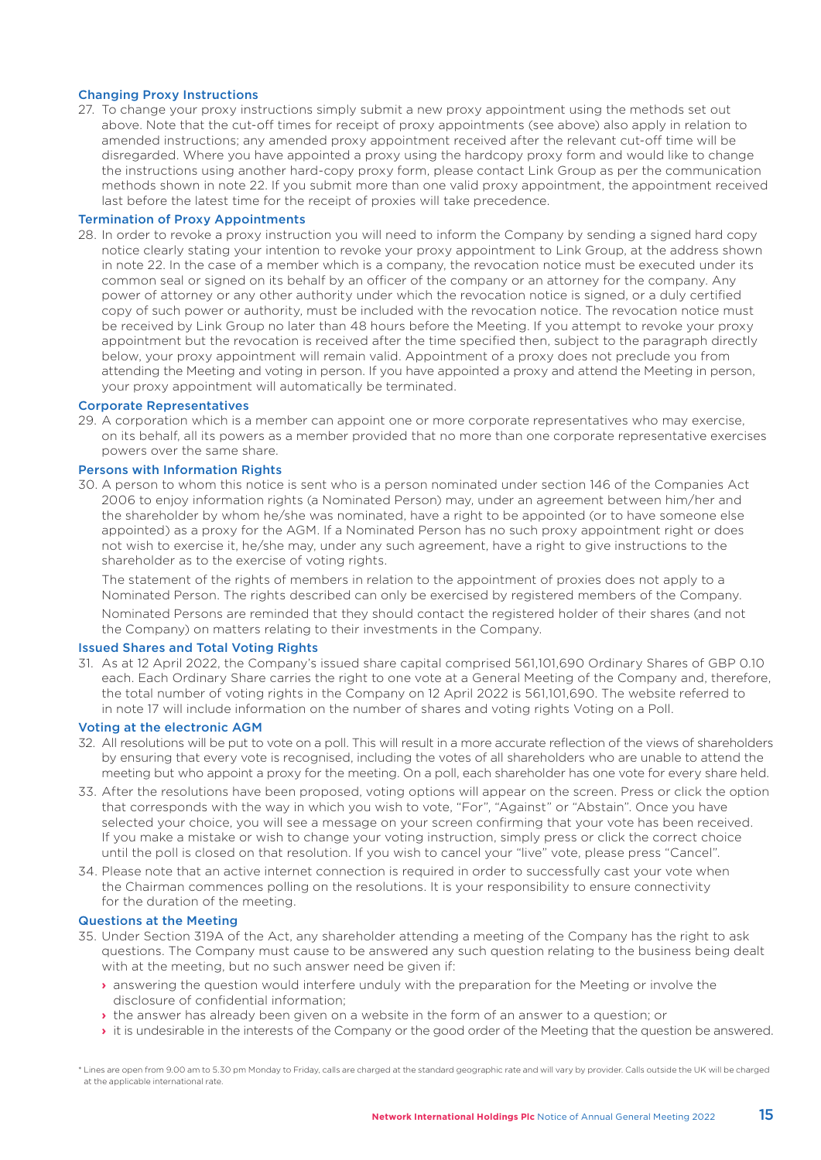# Changing Proxy Instructions

27. To change your proxy instructions simply submit a new proxy appointment using the methods set out above. Note that the cut-off times for receipt of proxy appointments (see above) also apply in relation to amended instructions; any amended proxy appointment received after the relevant cut-off time will be disregarded. Where you have appointed a proxy using the hardcopy proxy form and would like to change the instructions using another hard-copy proxy form, please contact Link Group as per the communication methods shown in note 22. If you submit more than one valid proxy appointment, the appointment received last before the latest time for the receipt of proxies will take precedence.

# Termination of Proxy Appointments

28. In order to revoke a proxy instruction you will need to inform the Company by sending a signed hard copy notice clearly stating your intention to revoke your proxy appointment to Link Group, at the address shown in note 22. In the case of a member which is a company, the revocation notice must be executed under its common seal or signed on its behalf by an officer of the company or an attorney for the company. Any power of attorney or any other authority under which the revocation notice is signed, or a duly certified copy of such power or authority, must be included with the revocation notice. The revocation notice must be received by Link Group no later than 48 hours before the Meeting. If you attempt to revoke your proxy appointment but the revocation is received after the time specified then, subject to the paragraph directly below, your proxy appointment will remain valid. Appointment of a proxy does not preclude you from attending the Meeting and voting in person. If you have appointed a proxy and attend the Meeting in person, your proxy appointment will automatically be terminated.

# Corporate Representatives

29. A corporation which is a member can appoint one or more corporate representatives who may exercise, on its behalf, all its powers as a member provided that no more than one corporate representative exercises powers over the same share.

# Persons with Information Rights

30. A person to whom this notice is sent who is a person nominated under section 146 of the Companies Act 2006 to enjoy information rights (a Nominated Person) may, under an agreement between him/her and the shareholder by whom he/she was nominated, have a right to be appointed (or to have someone else appointed) as a proxy for the AGM. If a Nominated Person has no such proxy appointment right or does not wish to exercise it, he/she may, under any such agreement, have a right to give instructions to the shareholder as to the exercise of voting rights.

 The statement of the rights of members in relation to the appointment of proxies does not apply to a Nominated Person. The rights described can only be exercised by registered members of the Company.

 Nominated Persons are reminded that they should contact the registered holder of their shares (and not the Company) on matters relating to their investments in the Company.

# Issued Shares and Total Voting Rights

31. As at 12 April 2022, the Company's issued share capital comprised 561,101,690 Ordinary Shares of GBP 0.10 each. Each Ordinary Share carries the right to one vote at a General Meeting of the Company and, therefore, the total number of voting rights in the Company on 12 April 2022 is 561,101,690. The website referred to in note 17 will include information on the number of shares and voting rights Voting on a Poll.

# Voting at the electronic AGM

- 32. All resolutions will be put to vote on a poll. This will result in a more accurate reflection of the views of shareholders by ensuring that every vote is recognised, including the votes of all shareholders who are unable to attend the meeting but who appoint a proxy for the meeting. On a poll, each shareholder has one vote for every share held.
- 33. After the resolutions have been proposed, voting options will appear on the screen. Press or click the option that corresponds with the way in which you wish to vote, "For", "Against" or "Abstain". Once you have selected your choice, you will see a message on your screen confirming that your vote has been received. If you make a mistake or wish to change your voting instruction, simply press or click the correct choice until the poll is closed on that resolution. If you wish to cancel your "live" vote, please press "Cancel".
- 34. Please note that an active internet connection is required in order to successfully cast your vote when the Chairman commences polling on the resolutions. It is your responsibility to ensure connectivity for the duration of the meeting.

# Questions at the Meeting

- 35. Under Section 319A of the Act, any shareholder attending a meeting of the Company has the right to ask questions. The Company must cause to be answered any such question relating to the business being dealt with at the meeting, but no such answer need be given if:
	- **›** answering the question would interfere unduly with the preparation for the Meeting or involve the disclosure of confidential information;
	- **›** the answer has already been given on a website in the form of an answer to a question; or
	- **›** it is undesirable in the interests of the Company or the good order of the Meeting that the question be answered.

\* Lines are open from 9.00 am to 5.30 pm Monday to Friday, calls are charged at the standard geographic rate and will vary by provider. Calls outside the UK will be charged at the applicable international rate.